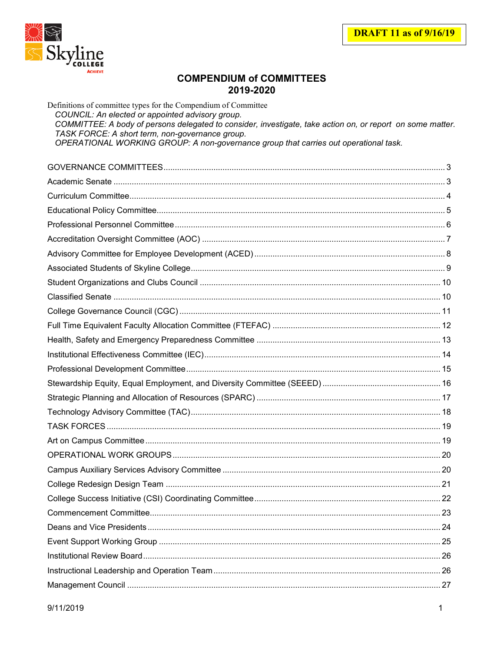

# **COMPENDIUM of COMMITTEES** 2019-2020

| Definitions of committee types for the Compendium of Committee<br>COUNCIL: An elected or appointed advisory group.<br>COMMITTEE: A body of persons delegated to consider, investigate, take action on, or report on some matter.<br>TASK FORCE: A short term, non-governance group.<br>OPERATIONAL WORKING GROUP: A non-governance group that carries out operational task. |  |
|-----------------------------------------------------------------------------------------------------------------------------------------------------------------------------------------------------------------------------------------------------------------------------------------------------------------------------------------------------------------------------|--|
|                                                                                                                                                                                                                                                                                                                                                                             |  |
|                                                                                                                                                                                                                                                                                                                                                                             |  |
|                                                                                                                                                                                                                                                                                                                                                                             |  |
|                                                                                                                                                                                                                                                                                                                                                                             |  |
|                                                                                                                                                                                                                                                                                                                                                                             |  |
|                                                                                                                                                                                                                                                                                                                                                                             |  |
|                                                                                                                                                                                                                                                                                                                                                                             |  |
|                                                                                                                                                                                                                                                                                                                                                                             |  |
|                                                                                                                                                                                                                                                                                                                                                                             |  |
|                                                                                                                                                                                                                                                                                                                                                                             |  |
|                                                                                                                                                                                                                                                                                                                                                                             |  |
|                                                                                                                                                                                                                                                                                                                                                                             |  |
|                                                                                                                                                                                                                                                                                                                                                                             |  |
|                                                                                                                                                                                                                                                                                                                                                                             |  |
|                                                                                                                                                                                                                                                                                                                                                                             |  |
|                                                                                                                                                                                                                                                                                                                                                                             |  |
|                                                                                                                                                                                                                                                                                                                                                                             |  |
|                                                                                                                                                                                                                                                                                                                                                                             |  |
|                                                                                                                                                                                                                                                                                                                                                                             |  |
|                                                                                                                                                                                                                                                                                                                                                                             |  |
|                                                                                                                                                                                                                                                                                                                                                                             |  |
|                                                                                                                                                                                                                                                                                                                                                                             |  |
|                                                                                                                                                                                                                                                                                                                                                                             |  |
|                                                                                                                                                                                                                                                                                                                                                                             |  |
|                                                                                                                                                                                                                                                                                                                                                                             |  |
|                                                                                                                                                                                                                                                                                                                                                                             |  |
|                                                                                                                                                                                                                                                                                                                                                                             |  |
|                                                                                                                                                                                                                                                                                                                                                                             |  |
|                                                                                                                                                                                                                                                                                                                                                                             |  |
|                                                                                                                                                                                                                                                                                                                                                                             |  |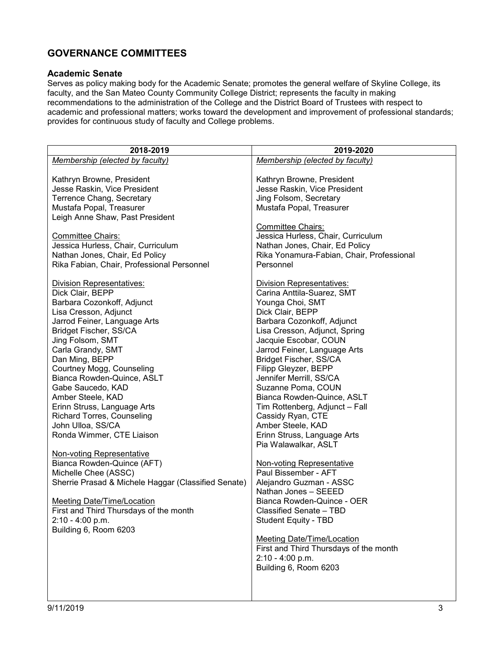# <span id="page-2-0"></span>**GOVERNANCE COMMITTEES**

#### <span id="page-2-1"></span>**Academic Senate**

Serves as policy making body for the Academic Senate; promotes the general welfare of Skyline College, its faculty, and the San Mateo County Community College District; represents the faculty in making recommendations to the administration of the College and the District Board of Trustees with respect to academic and professional matters; works toward the development and improvement of professional standards; provides for continuous study of faculty and College problems.

| 2019-2020                                                      |
|----------------------------------------------------------------|
| Membership (elected by faculty)                                |
|                                                                |
| Kathryn Browne, President                                      |
| Jesse Raskin, Vice President                                   |
| Jing Folsom, Secretary                                         |
| Mustafa Popal, Treasurer                                       |
|                                                                |
|                                                                |
| <b>Committee Chairs:</b><br>Jessica Hurless, Chair, Curriculum |
|                                                                |
| Nathan Jones, Chair, Ed Policy                                 |
| Rika Yonamura-Fabian, Chair, Professional                      |
| Personnel                                                      |
|                                                                |
| <b>Division Representatives:</b>                               |
| Carina Anttila-Suarez, SMT                                     |
| Younga Choi, SMT                                               |
| Dick Clair, BEPP                                               |
| Barbara Cozonkoff, Adjunct                                     |
| Lisa Cresson, Adjunct, Spring                                  |
| Jacquie Escobar, COUN                                          |
| Jarrod Feiner, Language Arts                                   |
| Bridget Fischer, SS/CA                                         |
| Filipp Gleyzer, BEPP                                           |
| Jennifer Merrill, SS/CA                                        |
| Suzanne Poma, COUN                                             |
| Bianca Rowden-Quince, ASLT                                     |
| Tim Rottenberg, Adjunct - Fall                                 |
| Cassidy Ryan, CTE                                              |
| Amber Steele, KAD                                              |
| Erinn Struss, Language Arts                                    |
| Pia Walawalkar, ASLT                                           |
|                                                                |
| <b>Non-voting Representative</b>                               |
| Paul Bissember - AFT                                           |
| Alejandro Guzman - ASSC                                        |
| Nathan Jones - SEEED                                           |
| Bianca Rowden-Quince - OER                                     |
| Classified Senate - TBD                                        |
| <b>Student Equity - TBD</b>                                    |
|                                                                |
| <b>Meeting Date/Time/Location</b>                              |
| First and Third Thursdays of the month                         |
| $2:10 - 4:00 p.m.$                                             |
| Building 6, Room 6203                                          |
|                                                                |
|                                                                |
|                                                                |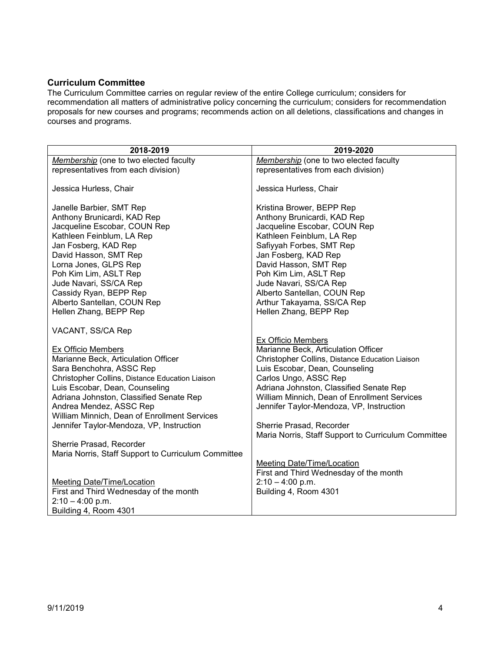### <span id="page-3-0"></span>**Curriculum Committee**

The Curriculum Committee carries on regular review of the entire College curriculum; considers for recommendation all matters of administrative policy concerning the curriculum; considers for recommendation proposals for new courses and programs; recommends action on all deletions, classifications and changes in courses and programs.

| 2018-2019                                                                                                                                                                                                                                                                                                                                           | 2019-2020                                                                                                                                                                                                                                                                                                                                         |
|-----------------------------------------------------------------------------------------------------------------------------------------------------------------------------------------------------------------------------------------------------------------------------------------------------------------------------------------------------|---------------------------------------------------------------------------------------------------------------------------------------------------------------------------------------------------------------------------------------------------------------------------------------------------------------------------------------------------|
| Membership (one to two elected faculty                                                                                                                                                                                                                                                                                                              | Membership (one to two elected faculty                                                                                                                                                                                                                                                                                                            |
| representatives from each division)                                                                                                                                                                                                                                                                                                                 | representatives from each division)                                                                                                                                                                                                                                                                                                               |
| Jessica Hurless, Chair                                                                                                                                                                                                                                                                                                                              | Jessica Hurless, Chair                                                                                                                                                                                                                                                                                                                            |
| Janelle Barbier, SMT Rep<br>Anthony Brunicardi, KAD Rep<br>Jacqueline Escobar, COUN Rep<br>Kathleen Feinblum, LA Rep<br>Jan Fosberg, KAD Rep<br>David Hasson, SMT Rep<br>Lorna Jones, GLPS Rep<br>Poh Kim Lim, ASLT Rep<br>Jude Navari, SS/CA Rep<br>Cassidy Ryan, BEPP Rep                                                                         | Kristina Brower, BEPP Rep<br>Anthony Brunicardi, KAD Rep<br>Jacqueline Escobar, COUN Rep<br>Kathleen Feinblum, LA Rep<br>Safiyyah Forbes, SMT Rep<br>Jan Fosberg, KAD Rep<br>David Hasson, SMT Rep<br>Poh Kim Lim, ASLT Rep<br>Jude Navari, SS/CA Rep<br>Alberto Santellan, COUN Rep                                                              |
| Alberto Santellan, COUN Rep                                                                                                                                                                                                                                                                                                                         | Arthur Takayama, SS/CA Rep                                                                                                                                                                                                                                                                                                                        |
| Hellen Zhang, BEPP Rep                                                                                                                                                                                                                                                                                                                              | Hellen Zhang, BEPP Rep                                                                                                                                                                                                                                                                                                                            |
| VACANT, SS/CA Rep                                                                                                                                                                                                                                                                                                                                   |                                                                                                                                                                                                                                                                                                                                                   |
| <b>Ex Officio Members</b><br>Marianne Beck, Articulation Officer<br>Sara Benchohra, ASSC Rep<br>Christopher Collins, Distance Education Liaison<br>Luis Escobar, Dean, Counseling<br>Adriana Johnston, Classified Senate Rep<br>Andrea Mendez, ASSC Rep<br>William Minnich, Dean of Enrollment Services<br>Jennifer Taylor-Mendoza, VP, Instruction | <b>Ex Officio Members</b><br>Marianne Beck, Articulation Officer<br>Christopher Collins, Distance Education Liaison<br>Luis Escobar, Dean, Counseling<br>Carlos Ungo, ASSC Rep<br>Adriana Johnston, Classified Senate Rep<br>William Minnich, Dean of Enrollment Services<br>Jennifer Taylor-Mendoza, VP, Instruction<br>Sherrie Prasad, Recorder |
|                                                                                                                                                                                                                                                                                                                                                     | Maria Norris, Staff Support to Curriculum Committee                                                                                                                                                                                                                                                                                               |
| Sherrie Prasad, Recorder<br>Maria Norris, Staff Support to Curriculum Committee                                                                                                                                                                                                                                                                     |                                                                                                                                                                                                                                                                                                                                                   |
|                                                                                                                                                                                                                                                                                                                                                     | <b>Meeting Date/Time/Location</b><br>First and Third Wednesday of the month                                                                                                                                                                                                                                                                       |
| <b>Meeting Date/Time/Location</b>                                                                                                                                                                                                                                                                                                                   | $2:10 - 4:00$ p.m.                                                                                                                                                                                                                                                                                                                                |
| First and Third Wednesday of the month<br>$2:10 - 4:00$ p.m.                                                                                                                                                                                                                                                                                        | Building 4, Room 4301                                                                                                                                                                                                                                                                                                                             |
| Building 4, Room 4301                                                                                                                                                                                                                                                                                                                               |                                                                                                                                                                                                                                                                                                                                                   |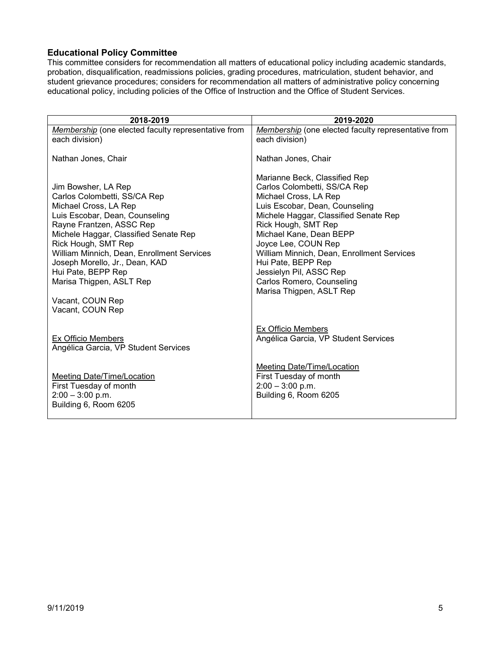### <span id="page-4-0"></span>**Educational Policy Committee**

This committee considers for recommendation all matters of educational policy including academic standards, probation, disqualification, readmissions policies, grading procedures, matriculation, student behavior, and student grievance procedures; considers for recommendation all matters of administrative policy concerning educational policy, including policies of the Office of Instruction and the Office of Student Services.

| 2018-2019                                           | 2019-2020                                           |
|-----------------------------------------------------|-----------------------------------------------------|
| Membership (one elected faculty representative from | Membership (one elected faculty representative from |
| each division)                                      | each division)                                      |
| Nathan Jones, Chair                                 | Nathan Jones, Chair                                 |
| Jim Bowsher, LA Rep                                 | Marianne Beck, Classified Rep                       |
| Carlos Colombetti, SS/CA Rep                        | Carlos Colombetti, SS/CA Rep                        |
| Michael Cross, LA Rep                               | Michael Cross, LA Rep                               |
| Luis Escobar, Dean, Counseling                      | Luis Escobar, Dean, Counseling                      |
| Rayne Frantzen, ASSC Rep                            | Michele Haggar, Classified Senate Rep               |
| Michele Haggar, Classified Senate Rep               | Rick Hough, SMT Rep                                 |
| Rick Hough, SMT Rep                                 | Michael Kane, Dean BEPP                             |
| William Minnich, Dean, Enrollment Services          | Joyce Lee, COUN Rep                                 |
| Joseph Morello, Jr., Dean, KAD                      | William Minnich, Dean, Enrollment Services          |
| Hui Pate, BEPP Rep                                  | Hui Pate, BEPP Rep                                  |
| Marisa Thigpen, ASLT Rep                            | Jessielyn Pil, ASSC Rep                             |
| Vacant, COUN Rep                                    | Carlos Romero, Counseling                           |
| Vacant, COUN Rep                                    | Marisa Thigpen, ASLT Rep                            |
| Ex Officio Members                                  | Ex Officio Members                                  |
| Angélica Garcia, VP Student Services                | Angélica Garcia, VP Student Services                |
| Meeting Date/Time/Location                          | Meeting Date/Time/Location                          |
| First Tuesday of month                              | First Tuesday of month                              |
| $2:00 - 3:00$ p.m.                                  | $2:00 - 3:00$ p.m.                                  |
| Building 6, Room 6205                               | Building 6, Room 6205                               |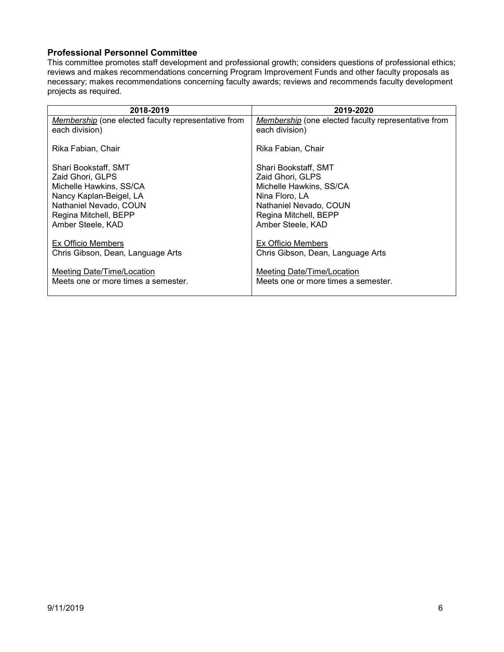#### <span id="page-5-0"></span>**Professional Personnel Committee**

This committee promotes staff development and professional growth; considers questions of professional ethics; reviews and makes recommendations concerning Program Improvement Funds and other faculty proposals as necessary; makes recommendations concerning faculty awards; reviews and recommends faculty development projects as required.

| 2018-2019                                                                | 2019-2020                                                                |
|--------------------------------------------------------------------------|--------------------------------------------------------------------------|
| Membership (one elected faculty representative from<br>each division)    | Membership (one elected faculty representative from<br>each division)    |
| Rika Fabian, Chair                                                       | Rika Fabian, Chair                                                       |
| Shari Bookstaff, SMT                                                     | Shari Bookstaff, SMT                                                     |
| Zaid Ghori, GLPS                                                         | Zaid Ghori, GLPS                                                         |
| Michelle Hawkins, SS/CA                                                  | Michelle Hawkins, SS/CA                                                  |
| Nancy Kaplan-Beigel, LA                                                  | Nina Floro, LA                                                           |
| Nathaniel Nevado, COUN                                                   | Nathaniel Nevado, COUN                                                   |
| Regina Mitchell, BEPP                                                    | Regina Mitchell, BEPP                                                    |
| Amber Steele, KAD                                                        | Amber Steele, KAD                                                        |
| Ex Officio Members<br>Chris Gibson, Dean, Language Arts                  | Ex Officio Members<br>Chris Gibson, Dean, Language Arts                  |
| <b>Meeting Date/Time/Location</b><br>Meets one or more times a semester. | <b>Meeting Date/Time/Location</b><br>Meets one or more times a semester. |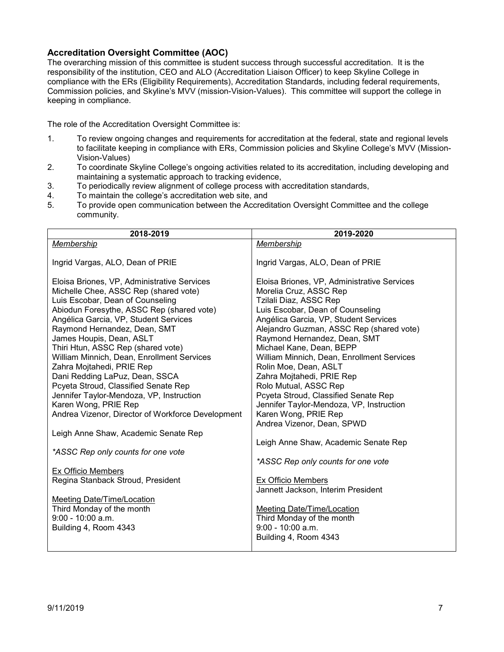#### <span id="page-6-0"></span>**Accreditation Oversight Committee (AOC)**

The overarching mission of this committee is student success through successful accreditation. It is the responsibility of the institution, CEO and ALO (Accreditation Liaison Officer) to keep Skyline College in compliance with the ERs (Eligibility Requirements), Accreditation Standards, including federal requirements, Commission policies, and Skyline's MVV (mission-Vision-Values). This committee will support the college in keeping in compliance.

The role of the Accreditation Oversight Committee is:

- 1. To review ongoing changes and requirements for accreditation at the federal, state and regional levels to facilitate keeping in compliance with ERs, Commission policies and Skyline College's MVV (Mission-Vision-Values)
- 2. To coordinate Skyline College's ongoing activities related to its accreditation, including developing and maintaining a systematic approach to tracking evidence,
- 3. To periodically review alignment of college process with accreditation standards,<br>4. To maintain the college's accreditation web site, and
- To maintain the college's accreditation web site, and
- 5. To provide open communication between the Accreditation Oversight Committee and the college community.

| 2018-2019                                                        | 2019-2020                                                     |
|------------------------------------------------------------------|---------------------------------------------------------------|
| Membership                                                       | Membership                                                    |
|                                                                  |                                                               |
| Ingrid Vargas, ALO, Dean of PRIE                                 | Ingrid Vargas, ALO, Dean of PRIE                              |
|                                                                  |                                                               |
| Eloisa Briones, VP, Administrative Services                      | Eloisa Briones, VP, Administrative Services                   |
| Michelle Chee, ASSC Rep (shared vote)                            | Morelia Cruz, ASSC Rep                                        |
| Luis Escobar, Dean of Counseling                                 | Tzilali Diaz, ASSC Rep                                        |
| Abiodun Foresythe, ASSC Rep (shared vote)                        | Luis Escobar, Dean of Counseling                              |
| Angélica Garcia, VP, Student Services                            | Angélica Garcia, VP, Student Services                         |
| Raymond Hernandez, Dean, SMT                                     | Alejandro Guzman, ASSC Rep (shared vote)                      |
| James Houpis, Dean, ASLT                                         | Raymond Hernandez, Dean, SMT                                  |
| Thiri Htun, ASSC Rep (shared vote)                               | Michael Kane, Dean, BEPP                                      |
| William Minnich, Dean, Enrollment Services                       | William Minnich, Dean, Enrollment Services                    |
| Zahra Mojtahedi, PRIE Rep                                        | Rolin Moe, Dean, ASLT                                         |
| Dani Redding LaPuz, Dean, SSCA                                   | Zahra Mojtahedi, PRIE Rep                                     |
| Pcyeta Stroud, Classified Senate Rep                             | Rolo Mutual, ASSC Rep<br>Pcyeta Stroud, Classified Senate Rep |
| Jennifer Taylor-Mendoza, VP, Instruction<br>Karen Wong, PRIE Rep | Jennifer Taylor-Mendoza, VP, Instruction                      |
| Andrea Vizenor, Director of Workforce Development                | Karen Wong, PRIE Rep                                          |
|                                                                  | Andrea Vizenor, Dean, SPWD                                    |
| Leigh Anne Shaw, Academic Senate Rep                             |                                                               |
|                                                                  | Leigh Anne Shaw, Academic Senate Rep                          |
| *ASSC Rep only counts for one vote                               |                                                               |
|                                                                  | *ASSC Rep only counts for one vote                            |
| Ex Officio Members                                               |                                                               |
| Regina Stanback Stroud, President                                | Ex Officio Members                                            |
|                                                                  | Jannett Jackson, Interim President                            |
| Meeting Date/Time/Location                                       |                                                               |
| Third Monday of the month                                        | <b>Meeting Date/Time/Location</b>                             |
| $9:00 - 10:00$ a.m.                                              | Third Monday of the month                                     |
| Building 4, Room 4343                                            | $9:00 - 10:00$ a.m.                                           |
|                                                                  | Building 4, Room 4343                                         |
|                                                                  |                                                               |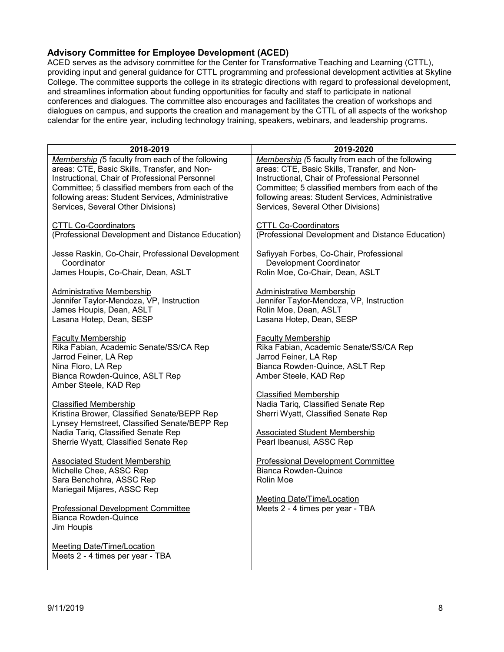#### <span id="page-7-0"></span>**Advisory Committee for Employee Development (ACED)**

ACED serves as the advisory committee for the Center for Transformative Teaching and Learning (CTTL), providing input and general guidance for CTTL programming and professional development activities at Skyline College. The committee supports the college in its strategic directions with regard to professional development, and streamlines information about funding opportunities for faculty and staff to participate in national conferences and dialogues. The committee also encourages and facilitates the creation of workshops and dialogues on campus, and supports the creation and management by the CTTL of all aspects of the workshop calendar for the entire year, including technology training, speakers, webinars, and leadership programs.

| 2018-2019                                                                                                                                                                     | 2019-2020                                                                                                                                               |
|-------------------------------------------------------------------------------------------------------------------------------------------------------------------------------|---------------------------------------------------------------------------------------------------------------------------------------------------------|
| Membership (5 faculty from each of the following                                                                                                                              | Membership (5 faculty from each of the following                                                                                                        |
| areas: CTE, Basic Skills, Transfer, and Non-                                                                                                                                  | areas: CTE, Basic Skills, Transfer, and Non-                                                                                                            |
| Instructional, Chair of Professional Personnel                                                                                                                                | Instructional, Chair of Professional Personnel                                                                                                          |
| Committee: 5 classified members from each of the                                                                                                                              | Committee; 5 classified members from each of the                                                                                                        |
| following areas: Student Services, Administrative                                                                                                                             | following areas: Student Services, Administrative                                                                                                       |
| Services, Several Other Divisions)                                                                                                                                            | Services, Several Other Divisions)                                                                                                                      |
| <b>CTTL Co-Coordinators</b>                                                                                                                                                   | <b>CTTL Co-Coordinators</b>                                                                                                                             |
| (Professional Development and Distance Education)                                                                                                                             | (Professional Development and Distance Education)                                                                                                       |
| Jesse Raskin, Co-Chair, Professional Development                                                                                                                              | Safiyyah Forbes, Co-Chair, Professional                                                                                                                 |
| Coordinator                                                                                                                                                                   | Development Coordinator                                                                                                                                 |
| James Houpis, Co-Chair, Dean, ASLT                                                                                                                                            | Rolin Moe, Co-Chair, Dean, ASLT                                                                                                                         |
| Administrative Membership                                                                                                                                                     | Administrative Membership                                                                                                                               |
| Jennifer Taylor-Mendoza, VP, Instruction                                                                                                                                      | Jennifer Taylor-Mendoza, VP, Instruction                                                                                                                |
| James Houpis, Dean, ASLT                                                                                                                                                      | Rolin Moe, Dean, ASLT                                                                                                                                   |
| Lasana Hotep, Dean, SESP                                                                                                                                                      | Lasana Hotep, Dean, SESP                                                                                                                                |
| <b>Faculty Membership</b><br>Rika Fabian, Academic Senate/SS/CA Rep<br>Jarrod Feiner, LA Rep<br>Nina Floro, LA Rep<br>Bianca Rowden-Quince, ASLT Rep<br>Amber Steele, KAD Rep | <b>Faculty Membership</b><br>Rika Fabian, Academic Senate/SS/CA Rep<br>Jarrod Feiner, LA Rep<br>Bianca Rowden-Quince, ASLT Rep<br>Amber Steele, KAD Rep |
| <b>Classified Membership</b>                                                                                                                                                  | <b>Classified Membership</b>                                                                                                                            |
| Kristina Brower, Classified Senate/BEPP Rep                                                                                                                                   | Nadia Tariq, Classified Senate Rep                                                                                                                      |
| Lynsey Hemstreet, Classified Senate/BEPP Rep                                                                                                                                  | Sherri Wyatt, Classified Senate Rep                                                                                                                     |
| Nadia Tariq, Classified Senate Rep                                                                                                                                            | <b>Associated Student Membership</b>                                                                                                                    |
| Sherrie Wyatt, Classified Senate Rep                                                                                                                                          | Pearl Ibeanusi, ASSC Rep                                                                                                                                |
| <b>Associated Student Membership</b><br>Michelle Chee, ASSC Rep<br>Sara Benchohra, ASSC Rep<br>Mariegail Mijares, ASSC Rep                                                    | <b>Professional Development Committee</b><br>Bianca Rowden-Quince<br>Rolin Moe                                                                          |
| <b>Professional Development Committee</b><br><b>Bianca Rowden-Quince</b><br>Jim Houpis                                                                                        | Meeting Date/Time/Location<br>Meets 2 - 4 times per year - TBA                                                                                          |
| <b>Meeting Date/Time/Location</b><br>Meets 2 - 4 times per year - TBA                                                                                                         |                                                                                                                                                         |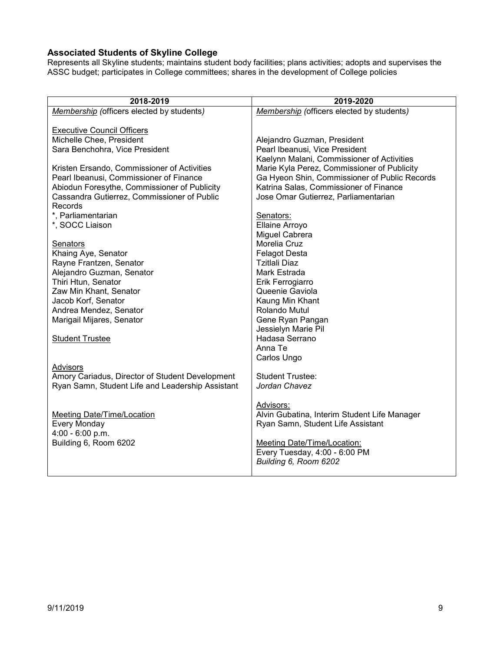### <span id="page-8-0"></span>**Associated Students of Skyline College**

Represents all Skyline students; maintains student body facilities; plans activities; adopts and supervises the ASSC budget; participates in College committees; shares in the development of College policies

| 2018-2019                                        | 2019-2020                                     |
|--------------------------------------------------|-----------------------------------------------|
| Membership (officers elected by students)        | Membership (officers elected by students)     |
|                                                  |                                               |
| <b>Executive Council Officers</b>                |                                               |
| Michelle Chee, President                         | Alejandro Guzman, President                   |
| Sara Benchohra, Vice President                   | Pearl Ibeanusi, Vice President                |
|                                                  | Kaelynn Malani, Commissioner of Activities    |
| Kristen Ersando, Commissioner of Activities      | Marie Kyla Perez, Commissioner of Publicity   |
| Pearl Ibeanusi, Commissioner of Finance          | Ga Hyeon Shin, Commissioner of Public Records |
| Abiodun Foresythe, Commissioner of Publicity     | Katrina Salas, Commissioner of Finance        |
| Cassandra Gutierrez, Commissioner of Public      | Jose Omar Gutierrez, Parliamentarian          |
| Records                                          |                                               |
| *. Parliamentarian                               | Senators:                                     |
| *, SOCC Liaison                                  | Ellaine Arroyo                                |
|                                                  | Miguel Cabrera                                |
| Senators                                         | Morelia Cruz                                  |
| Khaing Aye, Senator                              | <b>Felagot Desta</b>                          |
| Rayne Frantzen, Senator                          | <b>Tzitlali Diaz</b>                          |
| Alejandro Guzman, Senator                        | Mark Estrada                                  |
| Thiri Htun, Senator                              | Erik Ferrogiarro                              |
| Zaw Min Khant, Senator<br>Jacob Korf, Senator    | Queenie Gaviola                               |
| Andrea Mendez, Senator                           | Kaung Min Khant<br>Rolando Mutul              |
| Marigail Mijares, Senator                        | Gene Ryan Pangan                              |
|                                                  | Jessielyn Marie Pil                           |
| <b>Student Trustee</b>                           | Hadasa Serrano                                |
|                                                  | Anna Te                                       |
|                                                  | Carlos Ungo                                   |
| Advisors                                         |                                               |
| Amory Cariadus, Director of Student Development  | <b>Student Trustee:</b>                       |
| Ryan Samn, Student Life and Leadership Assistant | Jordan Chavez                                 |
|                                                  |                                               |
|                                                  | Advisors:                                     |
| <b>Meeting Date/Time/Location</b>                | Alvin Gubatina, Interim Student Life Manager  |
| Every Monday                                     | Ryan Samn, Student Life Assistant             |
| 4:00 - 6:00 p.m.                                 |                                               |
| Building 6, Room 6202                            | Meeting Date/Time/Location:                   |
|                                                  | Every Tuesday, 4:00 - 6:00 PM                 |
|                                                  | Building 6, Room 6202                         |
|                                                  |                                               |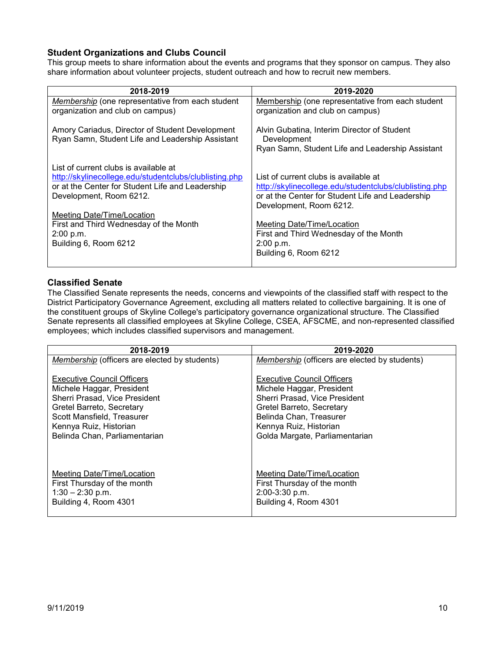### <span id="page-9-0"></span>**Student Organizations and Clubs Council**

This group meets to share information about the events and programs that they sponsor on campus. They also share information about volunteer projects, student outreach and how to recruit new members.

| 2018-2019                                                                                           | 2019-2020                                                                                                      |
|-----------------------------------------------------------------------------------------------------|----------------------------------------------------------------------------------------------------------------|
| Membership (one representative from each student                                                    | Membership (one representative from each student                                                               |
| organization and club on campus)                                                                    | organization and club on campus)                                                                               |
| Amory Cariadus, Director of Student Development<br>Ryan Samn, Student Life and Leadership Assistant | Alvin Gubatina, Interim Director of Student<br>Development<br>Ryan Samn, Student Life and Leadership Assistant |
| List of current clubs is available at                                                               | List of current clubs is available at                                                                          |
| http://skylinecollege.edu/studentclubs/clublisting.php                                              | http://skylinecollege.edu/studentclubs/clublisting.php                                                         |
| or at the Center for Student Life and Leadership                                                    | or at the Center for Student Life and Leadership                                                               |
| Development, Room 6212.                                                                             | Development, Room 6212.                                                                                        |
| <b>Meeting Date/Time/Location</b>                                                                   | Meeting Date/Time/Location                                                                                     |
| First and Third Wednesday of the Month                                                              | First and Third Wednesday of the Month                                                                         |
| 2:00 p.m.                                                                                           | 2:00 p.m.                                                                                                      |
| Building 6, Room 6212                                                                               | Building 6, Room 6212                                                                                          |

#### <span id="page-9-1"></span>**Classified Senate**

The Classified Senate represents the needs, concerns and viewpoints of the classified staff with respect to the District Participatory Governance Agreement, excluding all matters related to collective bargaining. It is one of the constituent groups of Skyline College's participatory governance organizational structure. The Classified Senate represents all classified employees at Skyline College, CSEA, AFSCME, and non-represented classified employees; which includes classified supervisors and management.

| 2018-2019                                            | 2019-2020                                            |
|------------------------------------------------------|------------------------------------------------------|
| <i>Membership</i> (officers are elected by students) | <i>Membership</i> (officers are elected by students) |
| <b>Executive Council Officers</b>                    | <b>Executive Council Officers</b>                    |
| Michele Haggar, President                            | Michele Haggar, President                            |
| Sherri Prasad, Vice President                        | Sherri Prasad, Vice President                        |
| Gretel Barreto, Secretary                            | Gretel Barreto, Secretary                            |
| Scott Mansfield, Treasurer                           | Belinda Chan, Treasurer                              |
| Kennya Ruiz, Historian                               | Kennya Ruiz, Historian                               |
| Belinda Chan, Parliamentarian                        | Golda Margate, Parliamentarian                       |
| Meeting Date/Time/Location                           | Meeting Date/Time/Location                           |
| First Thursday of the month                          | First Thursday of the month                          |
| $1:30 - 2:30$ p.m.                                   | 2:00-3:30 p.m.                                       |
| Building 4, Room 4301                                | Building 4, Room 4301                                |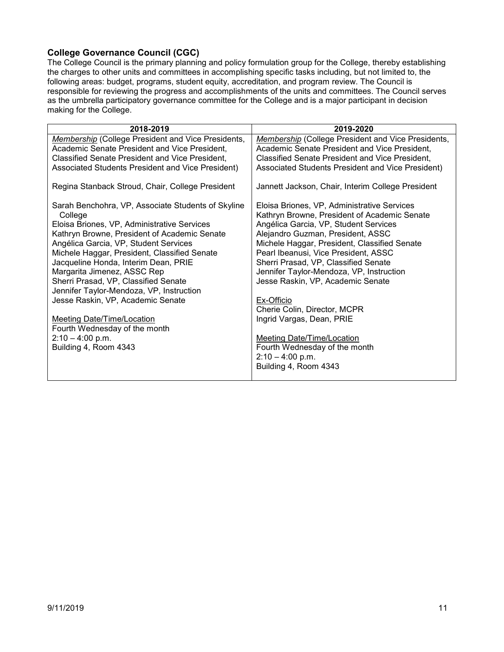### <span id="page-10-0"></span>**College Governance Council (CGC)**

The College Council is the primary planning and policy formulation group for the College, thereby establishing the charges to other units and committees in accomplishing specific tasks including, but not limited to, the following areas: budget, programs, student equity, accreditation, and program review. The Council is responsible for reviewing the progress and accomplishments of the units and committees. The Council serves as the umbrella participatory governance committee for the College and is a major participant in decision making for the College.

| 2018-2019                                                     | 2019-2020                                                                                   |
|---------------------------------------------------------------|---------------------------------------------------------------------------------------------|
| Membership (College President and Vice Presidents,            | Membership (College President and Vice Presidents,                                          |
| Academic Senate President and Vice President,                 | Academic Senate President and Vice President,                                               |
| Classified Senate President and Vice President,               | Classified Senate President and Vice President,                                             |
| Associated Students President and Vice President)             | Associated Students President and Vice President)                                           |
| Regina Stanback Stroud, Chair, College President              | Jannett Jackson, Chair, Interim College President                                           |
| Sarah Benchohra, VP, Associate Students of Skyline<br>College | Eloisa Briones, VP, Administrative Services<br>Kathryn Browne, President of Academic Senate |
| Eloisa Briones, VP, Administrative Services                   | Angélica Garcia, VP, Student Services                                                       |
| Kathryn Browne, President of Academic Senate                  | Alejandro Guzman, President, ASSC                                                           |
| Angélica Garcia, VP, Student Services                         | Michele Haggar, President, Classified Senate                                                |
| Michele Haggar, President, Classified Senate                  | Pearl Ibeanusi, Vice President, ASSC                                                        |
| Jacqueline Honda, Interim Dean, PRIE                          | Sherri Prasad, VP, Classified Senate                                                        |
| Margarita Jimenez, ASSC Rep                                   | Jennifer Taylor-Mendoza, VP, Instruction                                                    |
| Sherri Prasad, VP, Classified Senate                          | Jesse Raskin, VP, Academic Senate                                                           |
| Jennifer Taylor-Mendoza, VP, Instruction                      |                                                                                             |
| Jesse Raskin, VP, Academic Senate                             | Ex-Officio<br>Cherie Colin, Director, MCPR                                                  |
| Meeting Date/Time/Location                                    | Ingrid Vargas, Dean, PRIE                                                                   |
| Fourth Wednesday of the month                                 |                                                                                             |
| $2:10 - 4:00$ p.m.                                            | <b>Meeting Date/Time/Location</b>                                                           |
| Building 4, Room 4343                                         | Fourth Wednesday of the month                                                               |
|                                                               | $2:10 - 4:00$ p.m.                                                                          |
|                                                               | Building 4, Room 4343                                                                       |
|                                                               |                                                                                             |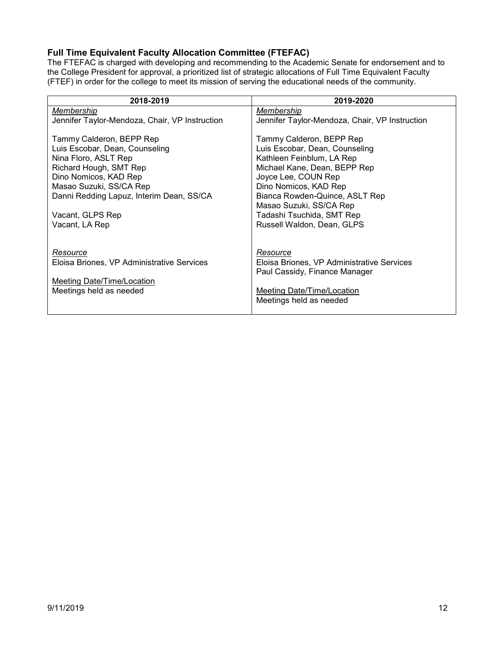# <span id="page-11-0"></span>**Full Time Equivalent Faculty Allocation Committee (FTEFAC)**

The FTEFAC is charged with developing and recommending to the Academic Senate for endorsement and to the College President for approval, a prioritized list of strategic allocations of Full Time Equivalent Faculty (FTEF) in order for the college to meet its mission of serving the educational needs of the community.

| 2018-2019                                      | 2019-2020                                      |
|------------------------------------------------|------------------------------------------------|
| Membership                                     | Membership                                     |
| Jennifer Taylor-Mendoza, Chair, VP Instruction | Jennifer Taylor-Mendoza, Chair, VP Instruction |
| Tammy Calderon, BEPP Rep                       | Tammy Calderon, BEPP Rep                       |
| Luis Escobar, Dean, Counseling                 | Luis Escobar, Dean, Counseling                 |
| Nina Floro, ASLT Rep                           | Kathleen Feinblum, LA Rep                      |
| Richard Hough, SMT Rep                         | Michael Kane, Dean, BEPP Rep                   |
| Dino Nomicos, KAD Rep                          | Joyce Lee, COUN Rep                            |
| Masao Suzuki, SS/CA Rep                        | Dino Nomicos, KAD Rep                          |
| Danni Redding Lapuz, Interim Dean, SS/CA       | Bianca Rowden-Quince, ASLT Rep                 |
|                                                | Masao Suzuki, SS/CA Rep                        |
| Vacant, GLPS Rep                               | Tadashi Tsuchida, SMT Rep                      |
| Vacant, LA Rep                                 | Russell Waldon, Dean, GLPS                     |
|                                                |                                                |
| Resource                                       | Resource                                       |
| Eloisa Briones, VP Administrative Services     | Eloisa Briones, VP Administrative Services     |
|                                                | Paul Cassidy, Finance Manager                  |
| Meeting Date/Time/Location                     |                                                |
| Meetings held as needed                        | Meeting Date/Time/Location                     |
|                                                | Meetings held as needed                        |
|                                                |                                                |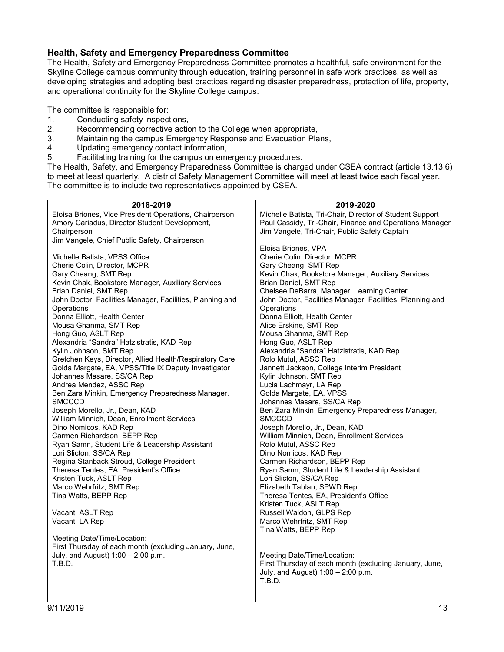#### <span id="page-12-0"></span>**Health, Safety and Emergency Preparedness Committee**

The Health, Safety and Emergency Preparedness Committee promotes a healthful, safe environment for the Skyline College campus community through education, training personnel in safe work practices, as well as developing strategies and adopting best practices regarding disaster preparedness, protection of life, property, and operational continuity for the Skyline College campus.

The committee is responsible for:

- 1. Conducting safety inspections,<br>2. Recommending corrective actional
- 2. Recommending corrective action to the College when appropriate,<br>3. Maintaining the campus Emergency Response and Evacuation Pla
- Maintaining the campus Emergency Response and Evacuation Plans,
- 4. Updating emergency contact information,
- 5. Facilitating training for the campus on emergency procedures.

The Health, Safety, and Emergency Preparedness Committee is charged under CSEA contract (article 13.13.6) to meet at least quarterly. A district Safety Management Committee will meet at least twice each fiscal year. The committee is to include two representatives appointed by CSEA.

| 2018-2019                                                                     | 2019-2020                                                          |
|-------------------------------------------------------------------------------|--------------------------------------------------------------------|
| Eloisa Briones, Vice President Operations, Chairperson                        | Michelle Batista, Tri-Chair, Director of Student Support           |
| Amory Cariadus, Director Student Development,                                 | Paul Cassidy, Tri-Chair, Finance and Operations Manager            |
| Chairperson                                                                   | Jim Vangele, Tri-Chair, Public Safely Captain                      |
| Jim Vangele, Chief Public Safety, Chairperson                                 |                                                                    |
|                                                                               | Eloisa Briones, VPA                                                |
| Michelle Batista, VPSS Office                                                 | Cherie Colin, Director, MCPR                                       |
| Cherie Colin, Director, MCPR                                                  | Gary Cheang, SMT Rep                                               |
| Gary Cheang, SMT Rep                                                          | Kevin Chak, Bookstore Manager, Auxiliary Services                  |
| Kevin Chak, Bookstore Manager, Auxiliary Services                             | Brian Daniel, SMT Rep                                              |
| Brian Daniel, SMT Rep                                                         | Chelsee DeBarra, Manager, Learning Center                          |
| John Doctor, Facilities Manager, Facilities, Planning and                     | John Doctor, Facilities Manager, Facilities, Planning and          |
| Operations                                                                    | Operations                                                         |
| Donna Elliott, Health Center                                                  | Donna Elliott, Health Center                                       |
| Mousa Ghanma, SMT Rep                                                         | Alice Erskine, SMT Rep                                             |
| Hong Guo, ASLT Rep                                                            | Mousa Ghanma, SMT Rep                                              |
| Alexandria "Sandra" Hatzistratis, KAD Rep                                     | Hong Guo, ASLT Rep                                                 |
| Kylin Johnson, SMT Rep                                                        | Alexandria "Sandra" Hatzistratis, KAD Rep                          |
| Gretchen Keys, Director, Allied Health/Respiratory Care                       | Rolo Mutul, ASSC Rep                                               |
| Golda Margate, EA, VPSS/Title IX Deputy Investigator                          | Jannett Jackson, College Interim President                         |
| Johannes Masare, SS/CA Rep                                                    | Kylin Johnson, SMT Rep                                             |
| Andrea Mendez, ASSC Rep                                                       | Lucia Lachmayr, LA Rep                                             |
| Ben Zara Minkin, Emergency Preparedness Manager,                              | Golda Margate, EA, VPSS                                            |
| <b>SMCCCD</b>                                                                 | Johannes Masare, SS/CA Rep                                         |
| Joseph Morello, Jr., Dean, KAD                                                | Ben Zara Minkin, Emergency Preparedness Manager,                   |
| William Minnich, Dean, Enrollment Services                                    | <b>SMCCCD</b>                                                      |
| Dino Nomicos, KAD Rep                                                         | Joseph Morello, Jr., Dean, KAD                                     |
| Carmen Richardson, BEPP Rep<br>Ryan Samn, Student Life & Leadership Assistant | William Minnich, Dean, Enrollment Services<br>Rolo Mutul, ASSC Rep |
| Lori Slicton, SS/CA Rep                                                       | Dino Nomicos, KAD Rep                                              |
| Regina Stanback Stroud, College President                                     | Carmen Richardson, BEPP Rep                                        |
| Theresa Tentes, EA, President's Office                                        | Ryan Samn, Student Life & Leadership Assistant                     |
| Kristen Tuck, ASLT Rep                                                        | Lori Slicton, SS/CA Rep                                            |
| Marco Wehrfritz, SMT Rep                                                      | Elizabeth Tablan, SPWD Rep                                         |
| Tina Watts, BEPP Rep                                                          | Theresa Tentes, EA, President's Office                             |
|                                                                               | Kristen Tuck, ASLT Rep                                             |
| Vacant, ASLT Rep                                                              | Russell Waldon, GLPS Rep                                           |
| Vacant, LA Rep                                                                | Marco Wehrfritz, SMT Rep                                           |
|                                                                               | Tina Watts, BEPP Rep                                               |
| Meeting Date/Time/Location:                                                   |                                                                    |
| First Thursday of each month (excluding January, June,                        |                                                                    |
| July, and August) 1:00 - 2:00 p.m.                                            | Meeting Date/Time/Location:                                        |
| T.B.D.                                                                        | First Thursday of each month (excluding January, June,             |
|                                                                               | July, and August) $1:00 - 2:00$ p.m.                               |
|                                                                               | T.B.D.                                                             |
|                                                                               |                                                                    |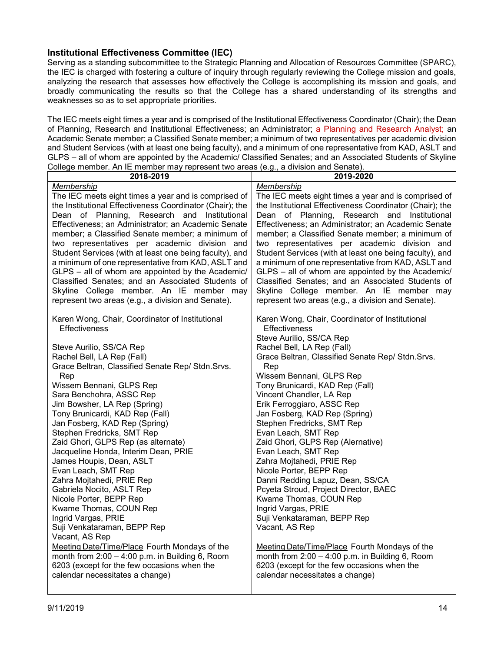#### <span id="page-13-0"></span>**Institutional Effectiveness Committee (IEC)**

Serving as a standing subcommittee to the Strategic Planning and Allocation of Resources Committee (SPARC), the IEC is charged with fostering a culture of inquiry through regularly reviewing the College mission and goals, analyzing the research that assesses how effectively the College is accomplishing its mission and goals, and broadly communicating the results so that the College has a shared understanding of its strengths and weaknesses so as to set appropriate priorities.

The IEC meets eight times a year and is comprised of the Institutional Effectiveness Coordinator (Chair); the Dean of Planning, Research and Institutional Effectiveness; an Administrator; a Planning and Research Analyst; an Academic Senate member; a Classified Senate member; a minimum of two representatives per academic division and Student Services (with at least one being faculty), and a minimum of one representative from KAD, ASLT and GLPS – all of whom are appointed by the Academic/ Classified Senates; and an Associated Students of Skyline College member. An IE member may represent two areas (e.g., a division and Senate).

| 2018-2019                                                                                                                                                                                                                                                                                                                                                                                                                                                                                                                                                                                                                                                               | 2019-2020                                                                                                                                                                                                                                                                                                                                                                                                                                                                                                                                                                                                                                                               |
|-------------------------------------------------------------------------------------------------------------------------------------------------------------------------------------------------------------------------------------------------------------------------------------------------------------------------------------------------------------------------------------------------------------------------------------------------------------------------------------------------------------------------------------------------------------------------------------------------------------------------------------------------------------------------|-------------------------------------------------------------------------------------------------------------------------------------------------------------------------------------------------------------------------------------------------------------------------------------------------------------------------------------------------------------------------------------------------------------------------------------------------------------------------------------------------------------------------------------------------------------------------------------------------------------------------------------------------------------------------|
| Membership<br>The IEC meets eight times a year and is comprised of<br>the Institutional Effectiveness Coordinator (Chair); the<br>Dean of Planning, Research and Institutional<br>Effectiveness; an Administrator; an Academic Senate<br>member; a Classified Senate member; a minimum of<br>two representatives per academic division and<br>Student Services (with at least one being faculty), and<br>a minimum of one representative from KAD, ASLT and<br>GLPS - all of whom are appointed by the Academic/<br>Classified Senates; and an Associated Students of<br>Skyline College member. An IE member may<br>represent two areas (e.g., a division and Senate). | Membership<br>The IEC meets eight times a year and is comprised of<br>the Institutional Effectiveness Coordinator (Chair); the<br>Dean of Planning, Research and Institutional<br>Effectiveness; an Administrator; an Academic Senate<br>member; a Classified Senate member; a minimum of<br>two representatives per academic division and<br>Student Services (with at least one being faculty), and<br>a minimum of one representative from KAD, ASLT and<br>GLPS - all of whom are appointed by the Academic/<br>Classified Senates; and an Associated Students of<br>Skyline College member. An IE member may<br>represent two areas (e.g., a division and Senate). |
| Karen Wong, Chair, Coordinator of Institutional<br><b>Effectiveness</b>                                                                                                                                                                                                                                                                                                                                                                                                                                                                                                                                                                                                 | Karen Wong, Chair, Coordinator of Institutional<br>Effectiveness<br>Steve Aurilio, SS/CA Rep                                                                                                                                                                                                                                                                                                                                                                                                                                                                                                                                                                            |
| Steve Aurilio, SS/CA Rep<br>Rachel Bell, LA Rep (Fall)<br>Grace Beltran, Classified Senate Rep/ Stdn. Srvs.<br>Rep<br>Wissem Bennani, GLPS Rep<br>Sara Benchohra, ASSC Rep<br>Jim Bowsher, LA Rep (Spring)<br>Tony Brunicardi, KAD Rep (Fall)<br>Jan Fosberg, KAD Rep (Spring)<br>Stephen Fredricks, SMT Rep<br>Zaid Ghori, GLPS Rep (as alternate)<br>Jacqueline Honda, Interim Dean, PRIE<br>James Houpis, Dean, ASLT<br>Evan Leach, SMT Rep<br>Zahra Mojtahedi, PRIE Rep<br>Gabriela Nocito, ASLT Rep<br>Nicole Porter, BEPP Rep<br>Kwame Thomas, COUN Rep<br>Ingrid Vargas, PRIE<br>Suji Venkataraman, BEPP Rep<br>Vacant, AS Rep                                   | Rachel Bell, LA Rep (Fall)<br>Grace Beltran, Classified Senate Rep/ Stdn. Srvs.<br>Rep<br>Wissem Bennani, GLPS Rep<br>Tony Brunicardi, KAD Rep (Fall)<br>Vincent Chandler, LA Rep<br>Erik Ferroggiaro, ASSC Rep<br>Jan Fosberg, KAD Rep (Spring)<br>Stephen Fredricks, SMT Rep<br>Evan Leach, SMT Rep<br>Zaid Ghori, GLPS Rep (Alernative)<br>Evan Leach, SMT Rep<br>Zahra Mojtahedi, PRIE Rep<br>Nicole Porter, BEPP Rep<br>Danni Redding Lapuz, Dean, SS/CA<br>Pcyeta Stroud, Project Director, BAEC<br>Kwame Thomas, COUN Rep<br>Ingrid Vargas, PRIE<br>Suji Venkataraman, BEPP Rep<br>Vacant, AS Rep                                                                |
| Meeting Date/Time/Place Fourth Mondays of the<br>month from $2:00 - 4:00$ p.m. in Building 6, Room<br>6203 (except for the few occasions when the<br>calendar necessitates a change)                                                                                                                                                                                                                                                                                                                                                                                                                                                                                    | Meeting Date/Time/Place Fourth Mondays of the<br>month from $2:00 - 4:00$ p.m. in Building 6, Room<br>6203 (except for the few occasions when the<br>calendar necessitates a change)                                                                                                                                                                                                                                                                                                                                                                                                                                                                                    |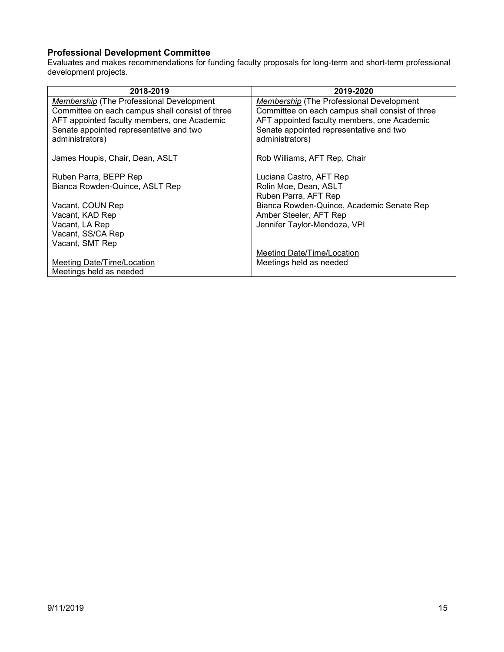### <span id="page-14-0"></span>**Professional Development Committee**

Evaluates and makes recommendations for funding faculty proposals for long-term and short-term professional development projects.

| 2018-2019                                       | 2019-2020                                       |
|-------------------------------------------------|-------------------------------------------------|
| <b>Membership</b> (The Professional Development | Membership (The Professional Development        |
| Committee on each campus shall consist of three | Committee on each campus shall consist of three |
| AFT appointed faculty members, one Academic     | AFT appointed faculty members, one Academic     |
| Senate appointed representative and two         | Senate appointed representative and two         |
| administrators)                                 | administrators)                                 |
|                                                 |                                                 |
| James Houpis, Chair, Dean, ASLT                 | Rob Williams, AFT Rep, Chair                    |
|                                                 |                                                 |
| Ruben Parra, BEPP Rep                           | Luciana Castro, AFT Rep                         |
| Bianca Rowden-Quince, ASLT Rep                  | Rolin Moe, Dean, ASLT                           |
|                                                 | Ruben Parra, AFT Rep                            |
| Vacant, COUN Rep                                | Bianca Rowden-Quince, Academic Senate Rep       |
| Vacant, KAD Rep                                 | Amber Steeler, AFT Rep                          |
| Vacant, LA Rep                                  | Jennifer Taylor-Mendoza, VPI                    |
| Vacant, SS/CA Rep                               |                                                 |
| Vacant, SMT Rep                                 |                                                 |
|                                                 | Meeting Date/Time/Location                      |
| Meeting Date/Time/Location                      | Meetings held as needed                         |
| Meetings held as needed                         |                                                 |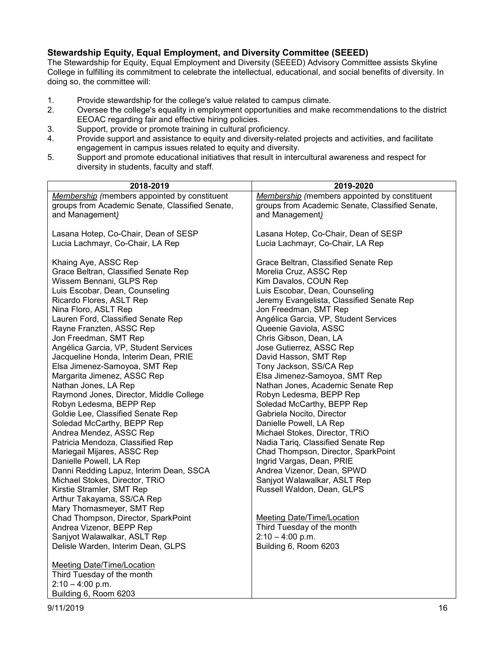#### <span id="page-15-0"></span>**Stewardship Equity, Equal Employment, and Diversity Committee (SEEED)**

The Stewardship for Equity, Equal Employment and Diversity (SEEED) Advisory Committee assists Skyline College in fulfilling its commitment to celebrate the intellectual, educational, and social benefits of diversity. In doing so, the committee will:

- 1. Provide stewardship for the college's value related to campus climate.<br>2. Oversee the college's equality in employment opportunities and make
- 2. Oversee the college's equality in employment opportunities and make recommendations to the district EEOAC regarding fair and effective hiring policies.
- 3. Support, provide or promote training in cultural proficiency.
- 4. Provide support and assistance to equity and diversity-related projects and activities, and facilitate engagement in campus issues related to equity and diversity.
- 5. Support and promote educational initiatives that result in intercultural awareness and respect for diversity in students, faculty and staff.

| 2018-2019                                        | 2019-2020                                       |
|--------------------------------------------------|-------------------------------------------------|
| Membership (members appointed by constituent     | Membership (members appointed by constituent    |
| groups from Academic Senate, Classified Senate,  | groups from Academic Senate, Classified Senate, |
| and Management)                                  | and Management)                                 |
|                                                  |                                                 |
| Lasana Hotep, Co-Chair, Dean of SESP             | Lasana Hotep, Co-Chair, Dean of SESP            |
| Lucia Lachmayr, Co-Chair, LA Rep                 | Lucia Lachmayr, Co-Chair, LA Rep                |
|                                                  |                                                 |
| Khaing Aye, ASSC Rep                             | Grace Beltran, Classified Senate Rep            |
| Grace Beltran, Classified Senate Rep             | Morelia Cruz, ASSC Rep                          |
| Wissem Bennani, GLPS Rep                         | Kim Davalos, COUN Rep                           |
| Luis Escobar, Dean, Counseling                   | Luis Escobar, Dean, Counseling                  |
| Ricardo Flores, ASLT Rep                         | Jeremy Evangelista, Classified Senate Rep       |
| Nina Floro, ASLT Rep                             | Jon Freedman, SMT Rep                           |
| Lauren Ford, Classified Senate Rep               | Angélica Garcia, VP, Student Services           |
| Rayne Franzten, ASSC Rep                         | Queenie Gaviola, ASSC                           |
| Jon Freedman, SMT Rep                            | Chris Gibson, Dean, LA                          |
| Angélica Garcia, VP, Student Services            | Jose Gutierrez, ASSC Rep                        |
| Jacqueline Honda, Interim Dean, PRIE             | David Hasson, SMT Rep                           |
| Elsa Jimenez-Samoyoa, SMT Rep                    | Tony Jackson, SS/CA Rep                         |
| Margarita Jimenez, ASSC Rep                      | Elsa Jimenez-Samoyoa, SMT Rep                   |
| Nathan Jones, LA Rep                             | Nathan Jones, Academic Senate Rep               |
| Raymond Jones, Director, Middle College          | Robyn Ledesma, BEPP Rep                         |
| Robyn Ledesma, BEPP Rep                          | Soledad McCarthy, BEPP Rep                      |
| Goldie Lee, Classified Senate Rep                | Gabriela Nocito, Director                       |
| Soledad McCarthy, BEPP Rep                       | Danielle Powell, LA Rep                         |
| Andrea Mendez, ASSC Rep                          | Michael Stokes, Director, TRiO                  |
| Patricia Mendoza, Classified Rep                 | Nadia Tariq, Classified Senate Rep              |
| Mariegail Mijares, ASSC Rep                      | Chad Thompson, Director, SparkPoint             |
| Danielle Powell, LA Rep                          | Ingrid Vargas, Dean, PRIE                       |
| Danni Redding Lapuz, Interim Dean, SSCA          | Andrea Vizenor, Dean, SPWD                      |
| Michael Stokes, Director, TRiO                   | Sanjyot Walawalkar, ASLT Rep                    |
| Kirstie Stramler, SMT Rep                        | Russell Waldon, Dean, GLPS                      |
| Arthur Takayama, SS/CA Rep                       |                                                 |
| Mary Thomasmeyer, SMT Rep                        |                                                 |
| Chad Thompson, Director, SparkPoint              | <b>Meeting Date/Time/Location</b>               |
| Andrea Vizenor, BEPP Rep                         | Third Tuesday of the month                      |
| Sanjyot Walawalkar, ASLT Rep                     | $2:10 - 4:00$ p.m.                              |
| Delisle Warden, Interim Dean, GLPS               | Building 6, Room 6203                           |
|                                                  |                                                 |
| <b>Meeting Date/Time/Location</b>                |                                                 |
| Third Tuesday of the month<br>$2:10 - 4:00$ p.m. |                                                 |
|                                                  |                                                 |
| Building 6, Room 6203                            |                                                 |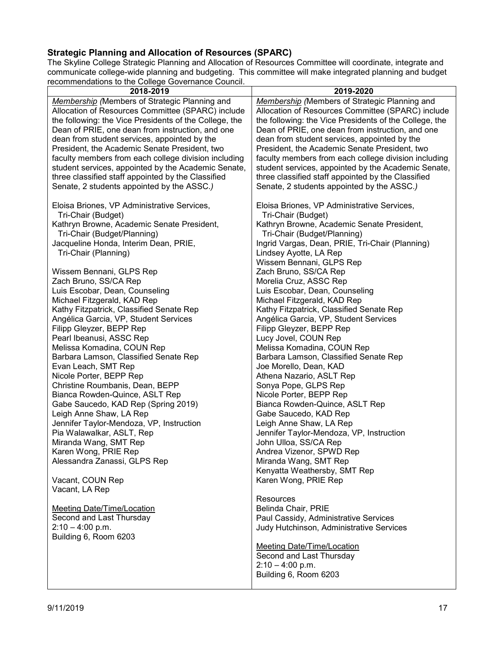# <span id="page-16-0"></span>**Strategic Planning and Allocation of Resources (SPARC)**

The Skyline College Strategic Planning and Allocation of Resources Committee will coordinate, integrate and communicate college-wide planning and budgeting. This committee will make integrated planning and budget recommendations to the College Governance Council.

| ecommentations to the College Governance Council.      |                                                        |
|--------------------------------------------------------|--------------------------------------------------------|
| 2018-2019                                              | 2019-2020                                              |
| <b>Membership</b> (Members of Strategic Planning and   | <b>Membership</b> (Members of Strategic Planning and   |
|                                                        |                                                        |
| Allocation of Resources Committee (SPARC) include      | Allocation of Resources Committee (SPARC) include      |
| the following: the Vice Presidents of the College, the | the following: the Vice Presidents of the College, the |
| Dean of PRIE, one dean from instruction, and one       | Dean of PRIE, one dean from instruction, and one       |
| dean from student services, appointed by the           | dean from student services, appointed by the           |
|                                                        |                                                        |
| President, the Academic Senate President, two          | President, the Academic Senate President, two          |
| faculty members from each college division including   | faculty members from each college division including   |
| student services, appointed by the Academic Senate,    | student services, appointed by the Academic Senate,    |
|                                                        |                                                        |
| three classified staff appointed by the Classified     | three classified staff appointed by the Classified     |
| Senate, 2 students appointed by the ASSC.)             | Senate, 2 students appointed by the ASSC.)             |
|                                                        |                                                        |
| Eloisa Briones, VP Administrative Services,            | Eloisa Briones, VP Administrative Services,            |
|                                                        |                                                        |
| Tri-Chair (Budget)                                     | Tri-Chair (Budget)                                     |
| Kathryn Browne, Academic Senate President,             | Kathryn Browne, Academic Senate President,             |
| Tri-Chair (Budget/Planning)                            | Tri-Chair (Budget/Planning)                            |
| Jacqueline Honda, Interim Dean, PRIE,                  | Ingrid Vargas, Dean, PRIE, Tri-Chair (Planning)        |
|                                                        |                                                        |
| Tri-Chair (Planning)                                   | Lindsey Ayotte, LA Rep                                 |
|                                                        | Wissem Bennani, GLPS Rep                               |
| Wissem Bennani, GLPS Rep                               | Zach Bruno, SS/CA Rep                                  |
| Zach Bruno, SS/CA Rep                                  | Morelia Cruz, ASSC Rep                                 |
|                                                        |                                                        |
| Luis Escobar, Dean, Counseling                         | Luis Escobar, Dean, Counseling                         |
| Michael Fitzgerald, KAD Rep                            | Michael Fitzgerald, KAD Rep                            |
| Kathy Fitzpatrick, Classified Senate Rep               | Kathy Fitzpatrick, Classified Senate Rep               |
| Angélica Garcia, VP, Student Services                  | Angélica Garcia, VP, Student Services                  |
| Filipp Gleyzer, BEPP Rep                               | Filipp Gleyzer, BEPP Rep                               |
|                                                        |                                                        |
| Pearl Ibeanusi, ASSC Rep                               | Lucy Jovel, COUN Rep                                   |
| Melissa Komadina, COUN Rep                             | Melissa Komadina, COUN Rep                             |
| Barbara Lamson, Classified Senate Rep                  | Barbara Lamson, Classified Senate Rep                  |
| Evan Leach, SMT Rep                                    | Joe Morello, Dean, KAD                                 |
|                                                        | Athena Nazario, ASLT Rep                               |
| Nicole Porter, BEPP Rep                                |                                                        |
| Christine Roumbanis, Dean, BEPP                        | Sonya Pope, GLPS Rep                                   |
| Bianca Rowden-Quince, ASLT Rep                         | Nicole Porter, BEPP Rep                                |
| Gabe Saucedo, KAD Rep (Spring 2019)                    | Bianca Rowden-Quince, ASLT Rep                         |
| Leigh Anne Shaw, LA Rep                                | Gabe Saucedo, KAD Rep                                  |
|                                                        |                                                        |
| Jennifer Taylor-Mendoza, VP, Instruction               | Leigh Anne Shaw, LA Rep                                |
| Pia Walawalkar, ASLT, Rep                              | Jennifer Taylor-Mendoza, VP, Instruction               |
| Miranda Wang, SMT Rep                                  | John Ulloa, SS/CA Rep                                  |
| Karen Wong, PRIE Rep                                   | Andrea Vizenor, SPWD Rep                               |
| Alessandra Zanassi, GLPS Rep                           | Miranda Wang, SMT Rep                                  |
|                                                        |                                                        |
|                                                        | Kenyatta Weathersby, SMT Rep                           |
| Vacant, COUN Rep                                       | Karen Wong, PRIE Rep                                   |
| Vacant, LA Rep                                         |                                                        |
|                                                        | Resources                                              |
|                                                        |                                                        |
| Meeting Date/Time/Location                             | Belinda Chair, PRIE                                    |
| Second and Last Thursday                               | Paul Cassidy, Administrative Services                  |
| $2:10 - 4:00$ p.m.                                     | Judy Hutchinson, Administrative Services               |
| Building 6, Room 6203                                  |                                                        |
|                                                        | <b>Meeting Date/Time/Location</b>                      |
|                                                        |                                                        |
|                                                        | Second and Last Thursday                               |
|                                                        | $2:10 - 4:00$ p.m.                                     |
|                                                        | Building 6, Room 6203                                  |
|                                                        |                                                        |
|                                                        |                                                        |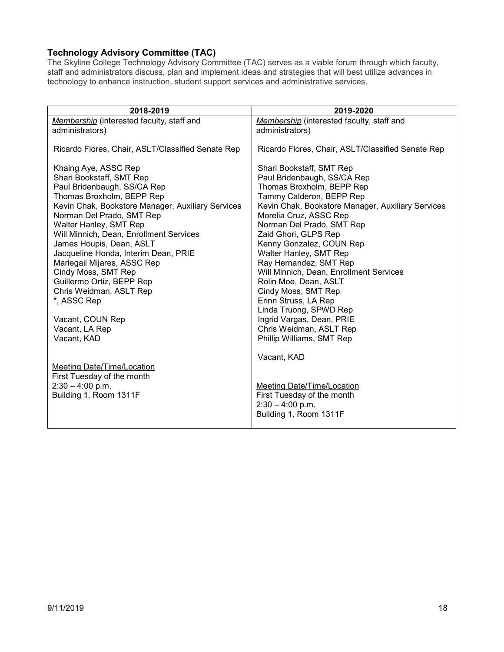## <span id="page-17-0"></span>**Technology Advisory Committee (TAC)**

The Skyline College Technology Advisory Committee (TAC) serves as a viable forum through which faculty, staff and administrators discuss, plan and implement ideas and strategies that will best utilize advances in technology to enhance instruction, student support services and administrative services.

| 2018-2019                                                         | 2019-2020                                            |
|-------------------------------------------------------------------|------------------------------------------------------|
| Membership (interested faculty, staff and                         | Membership (interested faculty, staff and            |
| administrators)                                                   | administrators)                                      |
| Ricardo Flores, Chair, ASLT/Classified Senate Rep                 | Ricardo Flores, Chair, ASLT/Classified Senate Rep    |
| Khaing Aye, ASSC Rep                                              | Shari Bookstaff, SMT Rep                             |
| Shari Bookstaff, SMT Rep                                          | Paul Bridenbaugh, SS/CA Rep                          |
| Paul Bridenbaugh, SS/CA Rep                                       | Thomas Broxholm, BEPP Rep                            |
| Thomas Broxholm, BEPP Rep                                         | Tammy Calderon, BEPP Rep                             |
| Kevin Chak, Bookstore Manager, Auxiliary Services                 | Kevin Chak, Bookstore Manager, Auxiliary Services    |
| Norman Del Prado, SMT Rep                                         | Morelia Cruz, ASSC Rep                               |
| Walter Hanley, SMT Rep<br>Will Minnich, Dean, Enrollment Services | Norman Del Prado, SMT Rep<br>Zaid Ghori, GLPS Rep    |
| James Houpis, Dean, ASLT                                          | Kenny Gonzalez, COUN Rep                             |
| Jacqueline Honda, Interim Dean, PRIE                              | Walter Hanley, SMT Rep                               |
| Mariegail Mijares, ASSC Rep                                       | Ray Hernandez, SMT Rep                               |
| Cindy Moss, SMT Rep                                               | Will Minnich, Dean, Enrollment Services              |
| Guillermo Ortiz, BEPP Rep                                         | Rolin Moe, Dean, ASLT                                |
| Chris Weidman, ASLT Rep                                           | Cindy Moss, SMT Rep                                  |
| *, ASSC Rep                                                       | Erinn Struss, LA Rep                                 |
|                                                                   | Linda Truong, SPWD Rep                               |
| Vacant, COUN Rep                                                  | Ingrid Vargas, Dean, PRIE                            |
| Vacant, LA Rep<br>Vacant, KAD                                     | Chris Weidman, ASLT Rep<br>Phillip Williams, SMT Rep |
|                                                                   |                                                      |
|                                                                   | Vacant, KAD                                          |
| Meeting Date/Time/Location                                        |                                                      |
| First Tuesday of the month                                        |                                                      |
| $2:30 - 4:00$ p.m.                                                | Meeting Date/Time/Location                           |
| Building 1, Room 1311F                                            | First Tuesday of the month                           |
|                                                                   | $2:30 - 4:00$ p.m.                                   |
|                                                                   | Building 1, Room 1311F                               |
|                                                                   |                                                      |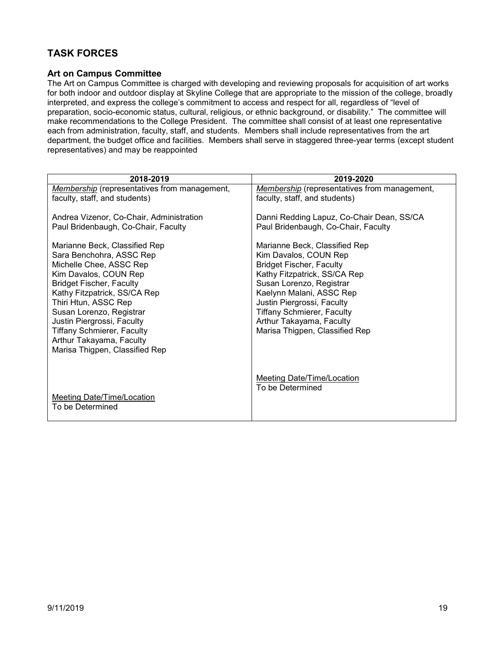# <span id="page-18-0"></span>**TASK FORCES**

#### <span id="page-18-1"></span>**Art on Campus Committee**

The Art on Campus Committee is charged with developing and reviewing proposals for acquisition of art works for both indoor and outdoor display at Skyline College that are appropriate to the mission of the college, broadly interpreted, and express the college's commitment to access and respect for all, regardless of "level of preparation, socio-economic status, cultural, religious, or ethnic background, or disability." The committee will make recommendations to the College President. The committee shall consist of at least one representative each from administration, faculty, staff, and students. Members shall include representatives from the art department, the budget office and facilities. Members shall serve in staggered three-year terms (except student representatives) and may be reappointed

| 2018-2019                                           | 2019-2020                                           |
|-----------------------------------------------------|-----------------------------------------------------|
| <b>Membership</b> (representatives from management, | <b>Membership</b> (representatives from management, |
| faculty, staff, and students)                       | faculty, staff, and students)                       |
|                                                     |                                                     |
| Andrea Vizenor, Co-Chair, Administration            | Danni Redding Lapuz, Co-Chair Dean, SS/CA           |
| Paul Bridenbaugh, Co-Chair, Faculty                 | Paul Bridenbaugh, Co-Chair, Faculty                 |
| Marianne Beck, Classified Rep                       | Marianne Beck, Classified Rep                       |
| Sara Benchohra, ASSC Rep                            | Kim Davalos, COUN Rep                               |
| Michelle Chee, ASSC Rep                             | <b>Bridget Fischer, Faculty</b>                     |
| Kim Davalos, COUN Rep                               | Kathy Fitzpatrick, SS/CA Rep                        |
| <b>Bridget Fischer, Faculty</b>                     | Susan Lorenzo, Registrar                            |
| Kathy Fitzpatrick, SS/CA Rep                        | Kaelynn Malani, ASSC Rep                            |
| Thiri Htun, ASSC Rep                                | Justin Piergrossi, Faculty                          |
| Susan Lorenzo, Registrar                            | <b>Tiffany Schmierer, Faculty</b>                   |
| Justin Piergrossi, Faculty                          | Arthur Takayama, Faculty                            |
| <b>Tiffany Schmierer, Faculty</b>                   | Marisa Thigpen, Classified Rep                      |
| Arthur Takayama, Faculty                            |                                                     |
| Marisa Thigpen, Classified Rep                      |                                                     |
|                                                     |                                                     |
|                                                     | Meeting Date/Time/Location                          |
|                                                     | To be Determined                                    |
| Meeting Date/Time/Location                          |                                                     |
| To be Determined                                    |                                                     |
|                                                     |                                                     |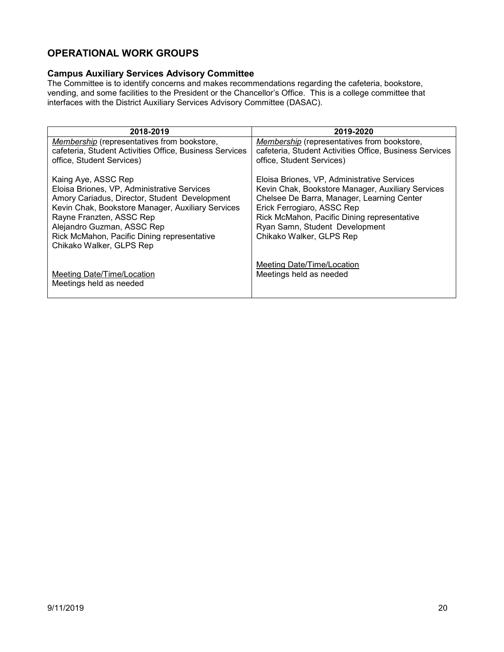## <span id="page-19-0"></span>**OPERATIONAL WORK GROUPS**

### <span id="page-19-1"></span>**Campus Auxiliary Services Advisory Committee**

The Committee is to identify concerns and makes recommendations regarding the cafeteria, bookstore, vending, and some facilities to the President or the Chancellor's Office. This is a college committee that interfaces with the District Auxiliary Services Advisory Committee (DASAC).

| 2018-2019                                                                                                     | 2019-2020                                                                                              |
|---------------------------------------------------------------------------------------------------------------|--------------------------------------------------------------------------------------------------------|
| <b>Membership</b> (representatives from bookstore,<br>cafeteria, Student Activities Office, Business Services | Membership (representatives from bookstore,<br>cafeteria, Student Activities Office, Business Services |
| office, Student Services)                                                                                     | office, Student Services)                                                                              |
| Kaing Aye, ASSC Rep                                                                                           | Eloisa Briones, VP, Administrative Services                                                            |
| Eloisa Briones, VP, Administrative Services                                                                   | Kevin Chak, Bookstore Manager, Auxiliary Services                                                      |
| Amory Cariadus, Director, Student Development<br>Kevin Chak, Bookstore Manager, Auxiliary Services            | Chelsee De Barra, Manager, Learning Center<br>Erick Ferrogiaro, ASSC Rep                               |
| Rayne Franzten, ASSC Rep                                                                                      | Rick McMahon, Pacific Dining representative                                                            |
| Alejandro Guzman, ASSC Rep                                                                                    | Ryan Samn, Student Development                                                                         |
| Rick McMahon, Pacific Dining representative                                                                   | Chikako Walker, GLPS Rep                                                                               |
| Chikako Walker, GLPS Rep                                                                                      |                                                                                                        |
|                                                                                                               | Meeting Date/Time/Location                                                                             |
| Meeting Date/Time/Location                                                                                    | Meetings held as needed                                                                                |
| Meetings held as needed                                                                                       |                                                                                                        |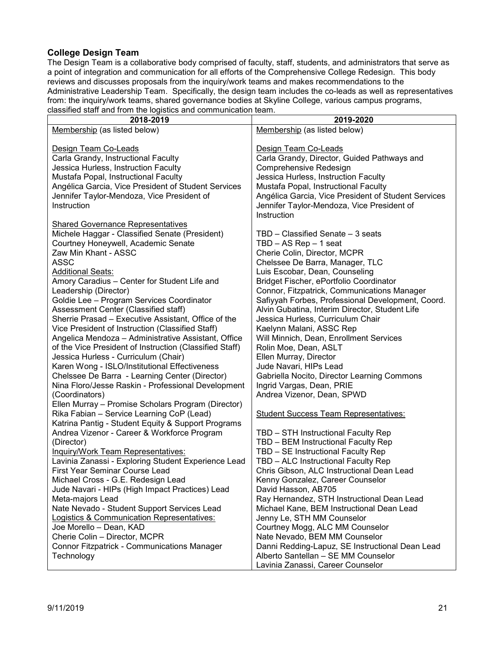#### <span id="page-20-0"></span>**College Design Team**

The Design Team is a collaborative body comprised of faculty, staff, students, and administrators that serve as a point of integration and communication for all efforts of the Comprehensive College Redesign. This body reviews and discusses proposals from the inquiry/work teams and makes recommendations to the Administrative Leadership Team. Specifically, the design team includes the co-leads as well as representatives from: the inquiry/work teams, shared governance bodies at Skyline College, various campus programs, classified staff and from the logistics and communication team.

| alabolited blant and from the logiotics and communication team. |                                                     |
|-----------------------------------------------------------------|-----------------------------------------------------|
| 2018-2019                                                       | 2019-2020                                           |
| Membership (as listed below)                                    | Membership (as listed below)                        |
|                                                                 |                                                     |
| Design Team Co-Leads                                            | Design Team Co-Leads                                |
|                                                                 |                                                     |
| Carla Grandy, Instructional Faculty                             | Carla Grandy, Director, Guided Pathways and         |
| Jessica Hurless, Instruction Faculty                            | Comprehensive Redesign                              |
| Mustafa Popal, Instructional Faculty                            | Jessica Hurless, Instruction Faculty                |
| Angélica Garcia, Vice President of Student Services             | Mustafa Popal, Instructional Faculty                |
| Jennifer Taylor-Mendoza, Vice President of                      | Angélica Garcia, Vice President of Student Services |
| Instruction                                                     | Jennifer Taylor-Mendoza, Vice President of          |
|                                                                 |                                                     |
|                                                                 | Instruction                                         |
| <b>Shared Governance Representatives</b>                        |                                                     |
| Michele Haggar - Classified Senate (President)                  | TBD - Classified Senate - 3 seats                   |
| Courtney Honeywell, Academic Senate                             | $TBD - AS Rep - 1 seat$                             |
| Zaw Min Khant - ASSC                                            | Cherie Colin, Director, MCPR                        |
|                                                                 |                                                     |
| <b>ASSC</b>                                                     | Chelssee De Barra, Manager, TLC                     |
| <b>Additional Seats:</b>                                        | Luis Escobar, Dean, Counseling                      |
| Amory Caradius - Center for Student Life and                    | Bridget Fischer, ePortfolio Coordinator             |
| Leadership (Director)                                           | Connor, Fitzpatrick, Communications Manager         |
| Goldie Lee - Program Services Coordinator                       | Safiyyah Forbes, Professional Development, Coord.   |
| Assessment Center (Classified staff)                            | Alvin Gubatina, Interim Director, Student Life      |
| Sherrie Prasad - Executive Assistant, Office of the             | Jessica Hurless, Curriculum Chair                   |
|                                                                 |                                                     |
| Vice President of Instruction (Classified Staff)                | Kaelynn Malani, ASSC Rep                            |
| Angelica Mendoza - Administrative Assistant, Office             | Will Minnich, Dean, Enrollment Services             |
| of the Vice President of Instruction (Classified Staff)         | Rolin Moe, Dean, ASLT                               |
| Jessica Hurless - Curriculum (Chair)                            | Ellen Murray, Director                              |
| Karen Wong - ISLO/Institutional Effectiveness                   | Jude Navari, HIPs Lead                              |
| Chelssee De Barra - Learning Center (Director)                  | Gabriella Nocito, Director Learning Commons         |
| Nina Floro/Jesse Raskin - Professional Development              | Ingrid Vargas, Dean, PRIE                           |
|                                                                 |                                                     |
| (Coordinators)                                                  | Andrea Vizenor, Dean, SPWD                          |
| Ellen Murray - Promise Scholars Program (Director)              |                                                     |
| Rika Fabian - Service Learning CoP (Lead)                       | <b>Student Success Team Representatives:</b>        |
| Katrina Pantig - Student Equity & Support Programs              |                                                     |
| Andrea Vizenor - Career & Workforce Program                     | TBD - STH Instructional Faculty Rep                 |
| (Director)                                                      | TBD - BEM Instructional Faculty Rep                 |
| <b>Inquiry/Work Team Representatives:</b>                       | TBD - SE Instructional Faculty Rep                  |
|                                                                 |                                                     |
| Lavinia Zanassi - Exploring Student Experience Lead             | TBD - ALC Instructional Faculty Rep                 |
| First Year Seminar Course Lead                                  | Chris Gibson, ALC Instructional Dean Lead           |
| Michael Cross - G.E. Redesign Lead                              | Kenny Gonzalez, Career Counselor                    |
| Jude Navari - HIPs (High Impact Practices) Lead                 | David Hasson, AB705                                 |
| Meta-majors Lead                                                | Ray Hernandez, STH Instructional Dean Lead          |
| Nate Nevado - Student Support Services Lead                     | Michael Kane, BEM Instructional Dean Lead           |
| <b>Logistics &amp; Communication Representatives:</b>           | Jenny Le, STH MM Counselor                          |
| Joe Morello - Dean, KAD                                         |                                                     |
|                                                                 | Courtney Mogg, ALC MM Counselor                     |
| Cherie Colin - Director, MCPR                                   | Nate Nevado, BEM MM Counselor                       |
| <b>Connor Fitzpatrick - Communications Manager</b>              | Danni Redding-Lapuz, SE Instructional Dean Lead     |
| Technology                                                      | Alberto Santellan - SE MM Counselor                 |
|                                                                 | Lavinia Zanassi, Career Counselor                   |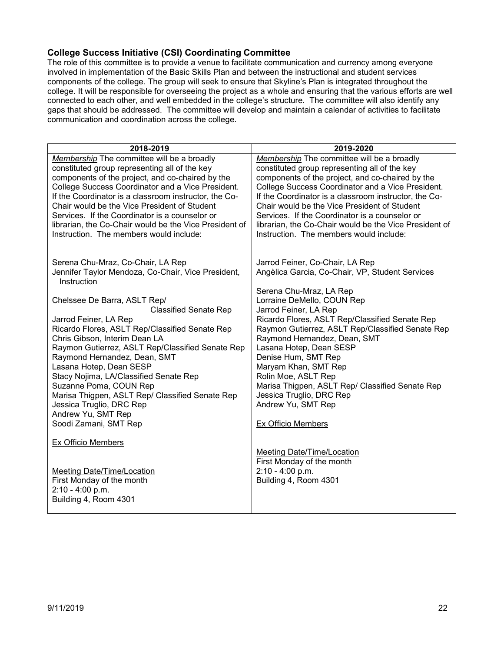#### <span id="page-21-0"></span>**College Success Initiative (CSI) Coordinating Committee**

The role of this committee is to provide a venue to facilitate communication and currency among everyone involved in implementation of the Basic Skills Plan and between the instructional and student services components of the college. The group will seek to ensure that Skyline's Plan is integrated throughout the college. It will be responsible for overseeing the project as a whole and ensuring that the various efforts are well connected to each other, and well embedded in the college's structure. The committee will also identify any gaps that should be addressed. The committee will develop and maintain a calendar of activities to facilitate communication and coordination across the college.

| 2018-2019                                                                                      | 2019-2020                                                                                      |
|------------------------------------------------------------------------------------------------|------------------------------------------------------------------------------------------------|
| Membership The committee will be a broadly                                                     | Membership The committee will be a broadly                                                     |
| constituted group representing all of the key                                                  | constituted group representing all of the key                                                  |
| components of the project, and co-chaired by the                                               | components of the project, and co-chaired by the                                               |
| College Success Coordinator and a Vice President.                                              | College Success Coordinator and a Vice President.                                              |
| If the Coordinator is a classroom instructor, the Co-                                          | If the Coordinator is a classroom instructor, the Co-                                          |
| Chair would be the Vice President of Student<br>Services. If the Coordinator is a counselor or | Chair would be the Vice President of Student<br>Services. If the Coordinator is a counselor or |
| librarian, the Co-Chair would be the Vice President of                                         | librarian, the Co-Chair would be the Vice President of                                         |
| Instruction. The members would include:                                                        | Instruction. The members would include:                                                        |
|                                                                                                |                                                                                                |
|                                                                                                |                                                                                                |
| Serena Chu-Mraz, Co-Chair, LA Rep                                                              | Jarrod Feiner, Co-Chair, LA Rep                                                                |
| Jennifer Taylor Mendoza, Co-Chair, Vice President,<br>Instruction                              | Angèlica Garcia, Co-Chair, VP, Student Services                                                |
|                                                                                                | Serena Chu-Mraz, LA Rep                                                                        |
| Chelssee De Barra, ASLT Rep/                                                                   | Lorraine DeMello, COUN Rep                                                                     |
| <b>Classified Senate Rep</b>                                                                   | Jarrod Feiner, LA Rep                                                                          |
| Jarrod Feiner, LA Rep                                                                          | Ricardo Flores, ASLT Rep/Classified Senate Rep                                                 |
| Ricardo Flores, ASLT Rep/Classified Senate Rep                                                 | Raymon Gutierrez, ASLT Rep/Classified Senate Rep                                               |
| Chris Gibson, Interim Dean LA<br>Raymon Gutierrez, ASLT Rep/Classified Senate Rep              | Raymond Hernandez, Dean, SMT<br>Lasana Hotep, Dean SESP                                        |
| Raymond Hernandez, Dean, SMT                                                                   | Denise Hum, SMT Rep                                                                            |
| Lasana Hotep, Dean SESP                                                                        | Maryam Khan, SMT Rep                                                                           |
| Stacy Nojima, LA/Classified Senate Rep                                                         | Rolin Moe, ASLT Rep                                                                            |
| Suzanne Poma, COUN Rep                                                                         | Marisa Thigpen, ASLT Rep/ Classified Senate Rep                                                |
| Marisa Thigpen, ASLT Rep/ Classified Senate Rep                                                | Jessica Truglio, DRC Rep                                                                       |
| Jessica Truglio, DRC Rep                                                                       | Andrew Yu, SMT Rep                                                                             |
| Andrew Yu, SMT Rep                                                                             |                                                                                                |
| Soodi Zamani, SMT Rep                                                                          | Ex Officio Members                                                                             |
| Ex Officio Members                                                                             |                                                                                                |
|                                                                                                | <b>Meeting Date/Time/Location</b>                                                              |
|                                                                                                | First Monday of the month                                                                      |
| Meeting Date/Time/Location                                                                     | 2:10 - 4:00 p.m.                                                                               |
| First Monday of the month                                                                      | Building 4, Room 4301                                                                          |
| $2:10 - 4:00 p.m.$                                                                             |                                                                                                |
| Building 4, Room 4301                                                                          |                                                                                                |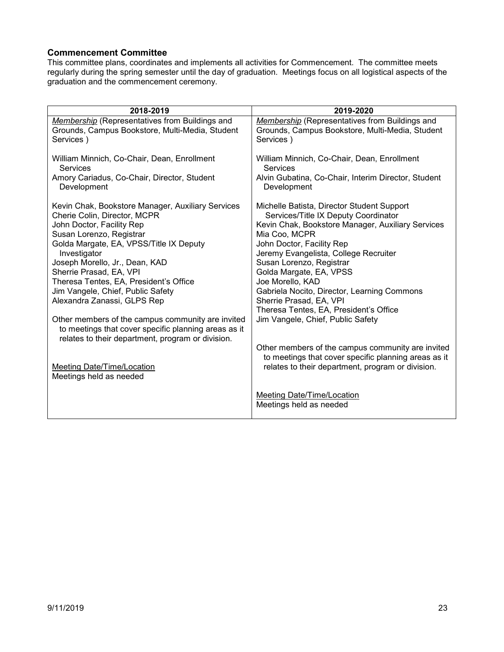#### <span id="page-22-0"></span>**Commencement Committee**

This committee plans, coordinates and implements all activities for Commencement. The committee meets regularly during the spring semester until the day of graduation. Meetings focus on all logistical aspects of the graduation and the commencement ceremony.

| 2018-2019                                            | 2019-2020                                             |
|------------------------------------------------------|-------------------------------------------------------|
| Membership (Representatives from Buildings and       | Membership (Representatives from Buildings and        |
| Grounds, Campus Bookstore, Multi-Media, Student      | Grounds, Campus Bookstore, Multi-Media, Student       |
| Services)                                            | Services)                                             |
| William Minnich, Co-Chair, Dean, Enrollment          | William Minnich, Co-Chair, Dean, Enrollment           |
| <b>Services</b>                                      | <b>Services</b>                                       |
| Amory Cariadus, Co-Chair, Director, Student          | Alvin Gubatina, Co-Chair, Interim Director, Student   |
| Development                                          | Development                                           |
| Kevin Chak, Bookstore Manager, Auxiliary Services    | Michelle Batista, Director Student Support            |
| Cherie Colin, Director, MCPR                         | Services/Title IX Deputy Coordinator                  |
| John Doctor, Facility Rep                            | Kevin Chak, Bookstore Manager, Auxiliary Services     |
| Susan Lorenzo, Registrar                             | Mia Coo, MCPR                                         |
| Golda Margate, EA, VPSS/Title IX Deputy              | John Doctor, Facility Rep                             |
| Investigator                                         | Jeremy Evangelista, College Recruiter                 |
| Joseph Morello, Jr., Dean, KAD                       | Susan Lorenzo, Registrar                              |
| Sherrie Prasad, EA, VPI                              | Golda Margate, EA, VPSS                               |
| Theresa Tentes, EA, President's Office               | Joe Morello, KAD                                      |
| Jim Vangele, Chief, Public Safety                    | Gabriela Nocito, Director, Learning Commons           |
| Alexandra Zanassi, GLPS Rep                          | Sherrie Prasad, EA, VPI                               |
| Other members of the campus community are invited    | Theresa Tentes, EA, President's Office                |
| to meetings that cover specific planning areas as it | Jim Vangele, Chief, Public Safety                     |
| relates to their department, program or division.    | Other members of the campus community are invited     |
| Meeting Date/Time/Location                           | to meetings that cover specific planning areas as it  |
| Meetings held as needed                              | relates to their department, program or division.     |
|                                                      | Meeting Date/Time/Location<br>Meetings held as needed |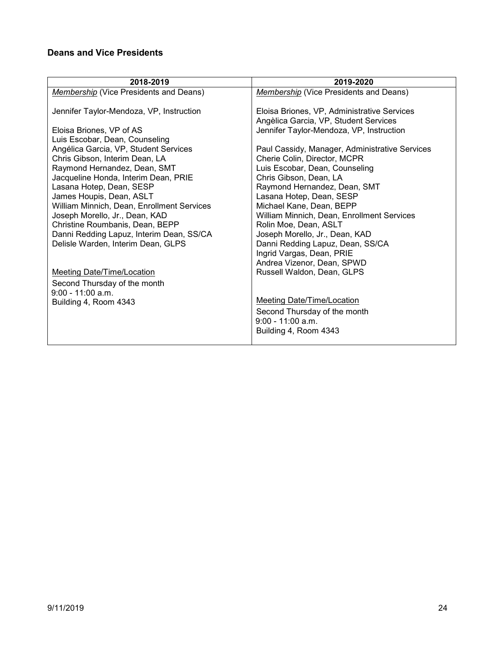# <span id="page-23-0"></span>**Deans and Vice Presidents**

| 2018-2019                                  | 2019-2020                                               |
|--------------------------------------------|---------------------------------------------------------|
| Membership (Vice Presidents and Deans)     | Membership (Vice Presidents and Deans)                  |
|                                            |                                                         |
| Jennifer Taylor-Mendoza, VP, Instruction   | Eloisa Briones, VP, Administrative Services             |
|                                            | Angèlica Garcia, VP, Student Services                   |
| Eloisa Briones, VP of AS                   | Jennifer Taylor-Mendoza, VP, Instruction                |
| Luis Escobar, Dean, Counseling             |                                                         |
| Angélica Garcia, VP, Student Services      | Paul Cassidy, Manager, Administrative Services          |
| Chris Gibson, Interim Dean, LA             | Cherie Colin, Director, MCPR                            |
| Raymond Hernandez, Dean, SMT               | Luis Escobar, Dean, Counseling                          |
| Jacqueline Honda, Interim Dean, PRIE       | Chris Gibson, Dean, LA                                  |
| Lasana Hotep, Dean, SESP                   | Raymond Hernandez, Dean, SMT                            |
| James Houpis, Dean, ASLT                   | Lasana Hotep, Dean, SESP                                |
| William Minnich, Dean, Enrollment Services | Michael Kane, Dean, BEPP                                |
| Joseph Morello, Jr., Dean, KAD             | William Minnich, Dean, Enrollment Services              |
| Christine Roumbanis, Dean, BEPP            | Rolin Moe, Dean, ASLT                                   |
| Danni Redding Lapuz, Interim Dean, SS/CA   | Joseph Morello, Jr., Dean, KAD                          |
| Delisle Warden, Interim Dean, GLPS         | Danni Redding Lapuz, Dean, SS/CA                        |
|                                            | Ingrid Vargas, Dean, PRIE<br>Andrea Vizenor, Dean, SPWD |
| <b>Meeting Date/Time/Location</b>          | Russell Waldon, Dean, GLPS                              |
|                                            |                                                         |
| Second Thursday of the month               |                                                         |
| $9:00 - 11:00$ a.m.                        | <b>Meeting Date/Time/Location</b>                       |
| Building 4, Room 4343                      |                                                         |
|                                            | Second Thursday of the month<br>$9:00 - 11:00$ a.m.     |
|                                            |                                                         |
|                                            | Building 4, Room 4343                                   |
|                                            |                                                         |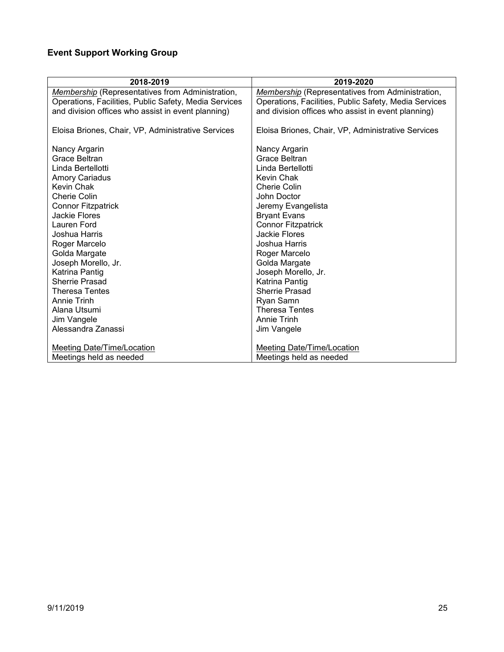# <span id="page-24-0"></span>**Event Support Working Group**

| 2018-2019                                               | 2019-2020                                               |
|---------------------------------------------------------|---------------------------------------------------------|
| <b>Membership</b> (Representatives from Administration, | <b>Membership</b> (Representatives from Administration, |
| Operations, Facilities, Public Safety, Media Services   | Operations, Facilities, Public Safety, Media Services   |
| and division offices who assist in event planning)      | and division offices who assist in event planning)      |
| Eloisa Briones, Chair, VP, Administrative Services      | Eloisa Briones, Chair, VP, Administrative Services      |
| Nancy Argarin                                           | Nancy Argarin                                           |
| Grace Beltran                                           | Grace Beltran                                           |
| Linda Bertellotti                                       | Linda Bertellotti                                       |
| <b>Amory Cariadus</b>                                   | Kevin Chak                                              |
| Kevin Chak                                              | <b>Cherie Colin</b>                                     |
| Cherie Colin                                            | John Doctor                                             |
| <b>Connor Fitzpatrick</b>                               | Jeremy Evangelista                                      |
| Jackie Flores                                           | <b>Bryant Evans</b>                                     |
| Lauren Ford                                             | <b>Connor Fitzpatrick</b>                               |
| Joshua Harris                                           | Jackie Flores                                           |
| Roger Marcelo                                           | Joshua Harris                                           |
| Golda Margate                                           | Roger Marcelo                                           |
| Joseph Morello, Jr.                                     | Golda Margate                                           |
| Katrina Pantig                                          | Joseph Morello, Jr.                                     |
| <b>Sherrie Prasad</b>                                   | Katrina Pantig                                          |
| <b>Theresa Tentes</b>                                   | Sherrie Prasad                                          |
| Annie Trinh                                             | Ryan Samn                                               |
| Alana Utsumi                                            | <b>Theresa Tentes</b>                                   |
| Jim Vangele                                             | Annie Trinh                                             |
| Alessandra Zanassi                                      | Jim Vangele                                             |
|                                                         |                                                         |
| Meeting Date/Time/Location                              | Meeting Date/Time/Location                              |
| Meetings held as needed                                 | Meetings held as needed                                 |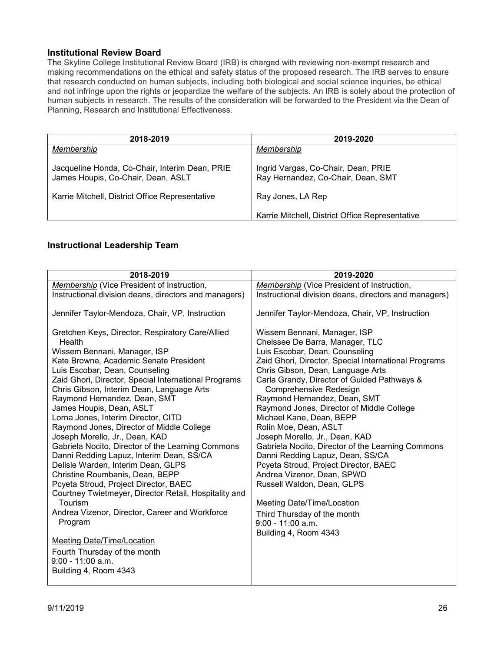#### <span id="page-25-0"></span>**Institutional Review Board**

The Skyline College Institutional Review Board (IRB) is charged with reviewing non-exempt research and making recommendations on the ethical and safety status of the proposed research. The IRB serves to ensure that research conducted on human subjects, including both biological and social science inquiries, be ethical and not infringe upon the rights or jeopardize the welfare of the subjects. An IRB is solely about the protection of human subjects in research. The results of the consideration will be forwarded to the President via the Dean of Planning, Research and Institutional Effectiveness.

| 2018-2019                                                                            | 2019-2020                                                                 |
|--------------------------------------------------------------------------------------|---------------------------------------------------------------------------|
| Membership                                                                           | Membership                                                                |
| Jacqueline Honda, Co-Chair, Interim Dean, PRIE<br>James Houpis, Co-Chair, Dean, ASLT | Ingrid Vargas, Co-Chair, Dean, PRIE<br>Ray Hernandez, Co-Chair, Dean, SMT |
| Karrie Mitchell, District Office Representative                                      | Ray Jones, LA Rep                                                         |
|                                                                                      | Karrie Mitchell, District Office Representative                           |

#### <span id="page-25-1"></span>**Instructional Leadership Team**

| 2018-2019                                                                                                                                                                                                                                                                                                                                                                                                                                                                                                                                                                                                                                                                                                                                                                                                                                                                                                                              | 2019-2020                                                                                                                                                                                                                                                                                                                                                                                                                                                                                                                                                                                                                                                                                                                                                     |
|----------------------------------------------------------------------------------------------------------------------------------------------------------------------------------------------------------------------------------------------------------------------------------------------------------------------------------------------------------------------------------------------------------------------------------------------------------------------------------------------------------------------------------------------------------------------------------------------------------------------------------------------------------------------------------------------------------------------------------------------------------------------------------------------------------------------------------------------------------------------------------------------------------------------------------------|---------------------------------------------------------------------------------------------------------------------------------------------------------------------------------------------------------------------------------------------------------------------------------------------------------------------------------------------------------------------------------------------------------------------------------------------------------------------------------------------------------------------------------------------------------------------------------------------------------------------------------------------------------------------------------------------------------------------------------------------------------------|
| Membership (Vice President of Instruction,                                                                                                                                                                                                                                                                                                                                                                                                                                                                                                                                                                                                                                                                                                                                                                                                                                                                                             | <b>Membership</b> (Vice President of Instruction,                                                                                                                                                                                                                                                                                                                                                                                                                                                                                                                                                                                                                                                                                                             |
| Instructional division deans, directors and managers)                                                                                                                                                                                                                                                                                                                                                                                                                                                                                                                                                                                                                                                                                                                                                                                                                                                                                  | Instructional division deans, directors and managers)                                                                                                                                                                                                                                                                                                                                                                                                                                                                                                                                                                                                                                                                                                         |
| Jennifer Taylor-Mendoza, Chair, VP, Instruction                                                                                                                                                                                                                                                                                                                                                                                                                                                                                                                                                                                                                                                                                                                                                                                                                                                                                        | Jennifer Taylor-Mendoza, Chair, VP, Instruction                                                                                                                                                                                                                                                                                                                                                                                                                                                                                                                                                                                                                                                                                                               |
| Gretchen Keys, Director, Respiratory Care/Allied<br>Health<br>Wissem Bennani, Manager, ISP<br>Kate Browne, Academic Senate President<br>Luis Escobar, Dean, Counseling<br>Zaid Ghori, Director, Special International Programs<br>Chris Gibson, Interim Dean, Language Arts<br>Raymond Hernandez, Dean, SMT<br>James Houpis, Dean, ASLT<br>Lorna Jones, Interim Director, CITD<br>Raymond Jones, Director of Middle College<br>Joseph Morello, Jr., Dean, KAD<br>Gabriela Nocito, Director of the Learning Commons<br>Danni Redding Lapuz, Interim Dean, SS/CA<br>Delisle Warden, Interim Dean, GLPS<br>Christine Roumbanis, Dean, BEPP<br>Pcyeta Stroud, Project Director, BAEC<br>Courtney Twietmeyer, Director Retail, Hospitality and<br>Tourism<br>Andrea Vizenor, Director, Career and Workforce<br>Program<br><b>Meeting Date/Time/Location</b><br>Fourth Thursday of the month<br>$9:00 - 11:00$ a.m.<br>Building 4, Room 4343 | Wissem Bennani, Manager, ISP<br>Chelssee De Barra, Manager, TLC<br>Luis Escobar, Dean, Counseling<br>Zaid Ghori, Director, Special International Programs<br>Chris Gibson, Dean, Language Arts<br>Carla Grandy, Director of Guided Pathways &<br>Comprehensive Redesign<br>Raymond Hernandez, Dean, SMT<br>Raymond Jones, Director of Middle College<br>Michael Kane, Dean, BEPP<br>Rolin Moe, Dean, ASLT<br>Joseph Morello, Jr., Dean, KAD<br>Gabriela Nocito, Director of the Learning Commons<br>Danni Redding Lapuz, Dean, SS/CA<br>Pcyeta Stroud, Project Director, BAEC<br>Andrea Vizenor, Dean, SPWD<br>Russell Waldon, Dean, GLPS<br><b>Meeting Date/Time/Location</b><br>Third Thursday of the month<br>$9:00 - 11:00$ a.m.<br>Building 4, Room 4343 |
|                                                                                                                                                                                                                                                                                                                                                                                                                                                                                                                                                                                                                                                                                                                                                                                                                                                                                                                                        |                                                                                                                                                                                                                                                                                                                                                                                                                                                                                                                                                                                                                                                                                                                                                               |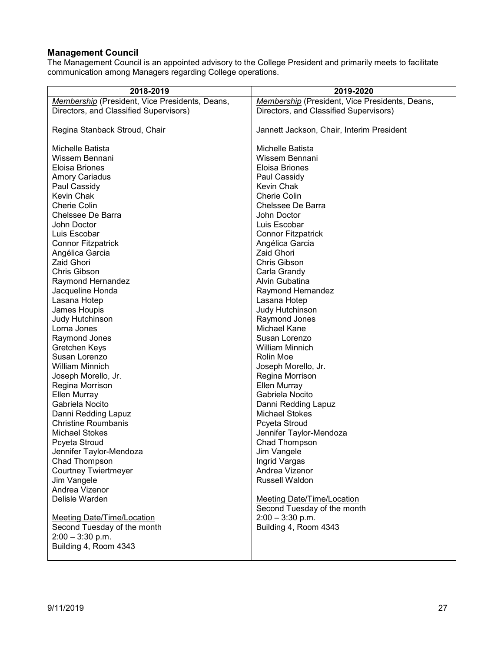### <span id="page-26-0"></span>**Management Council**

The Management Council is an appointed advisory to the College President and primarily meets to facilitate communication among Managers regarding College operations.

| 2018-2019                                      | 2019-2020                                      |
|------------------------------------------------|------------------------------------------------|
| Membership (President, Vice Presidents, Deans, | Membership (President, Vice Presidents, Deans, |
| Directors, and Classified Supervisors)         | Directors, and Classified Supervisors)         |
|                                                |                                                |
| Regina Stanback Stroud, Chair                  | Jannett Jackson, Chair, Interim President      |
|                                                |                                                |
| Michelle Batista                               | Michelle Batista                               |
| Wissem Bennani                                 | Wissem Bennani                                 |
| Eloisa Briones                                 | Eloisa Briones                                 |
| <b>Amory Cariadus</b>                          | Paul Cassidy                                   |
| Paul Cassidy                                   | Kevin Chak                                     |
| Kevin Chak                                     | <b>Cherie Colin</b>                            |
| <b>Cherie Colin</b>                            | Chelssee De Barra                              |
| Chelssee De Barra                              | John Doctor                                    |
| John Doctor                                    | Luis Escobar                                   |
| Luis Escobar                                   | <b>Connor Fitzpatrick</b>                      |
| <b>Connor Fitzpatrick</b>                      | Angélica Garcia                                |
| Angélica Garcia                                | <b>Zaid Ghori</b>                              |
| Zaid Ghori                                     | Chris Gibson                                   |
| Chris Gibson                                   | Carla Grandy                                   |
| Raymond Hernandez                              | Alvin Gubatina                                 |
| Jacqueline Honda                               | Raymond Hernandez                              |
| Lasana Hotep                                   | Lasana Hotep                                   |
| James Houpis                                   | Judy Hutchinson                                |
| Judy Hutchinson                                | Raymond Jones                                  |
| Lorna Jones                                    | Michael Kane                                   |
| Raymond Jones                                  | Susan Lorenzo                                  |
| Gretchen Keys                                  | <b>William Minnich</b>                         |
| Susan Lorenzo                                  | Rolin Moe                                      |
| <b>William Minnich</b>                         | Joseph Morello, Jr.                            |
| Joseph Morello, Jr.                            | Regina Morrison                                |
| Regina Morrison                                | Ellen Murray                                   |
| Ellen Murray                                   | Gabriela Nocito                                |
| Gabriela Nocito                                | Danni Redding Lapuz                            |
| Danni Redding Lapuz                            | <b>Michael Stokes</b>                          |
| <b>Christine Roumbanis</b>                     | Pcyeta Stroud                                  |
| <b>Michael Stokes</b>                          | Jennifer Taylor-Mendoza                        |
| Pcyeta Stroud                                  | Chad Thompson                                  |
| Jennifer Taylor-Mendoza                        | Jim Vangele                                    |
| Chad Thompson                                  | Ingrid Vargas                                  |
| <b>Courtney Twiertmeyer</b>                    | Andrea Vizenor                                 |
| Jim Vangele                                    | Russell Waldon                                 |
| Andrea Vizenor                                 |                                                |
| Delisle Warden                                 | <b>Meeting Date/Time/Location</b>              |
|                                                | Second Tuesday of the month                    |
| Meeting Date/Time/Location                     | $2:00 - 3:30$ p.m.                             |
| Second Tuesday of the month                    | Building 4, Room 4343                          |
| $2:00 - 3:30$ p.m.                             |                                                |
| Building 4, Room 4343                          |                                                |
|                                                |                                                |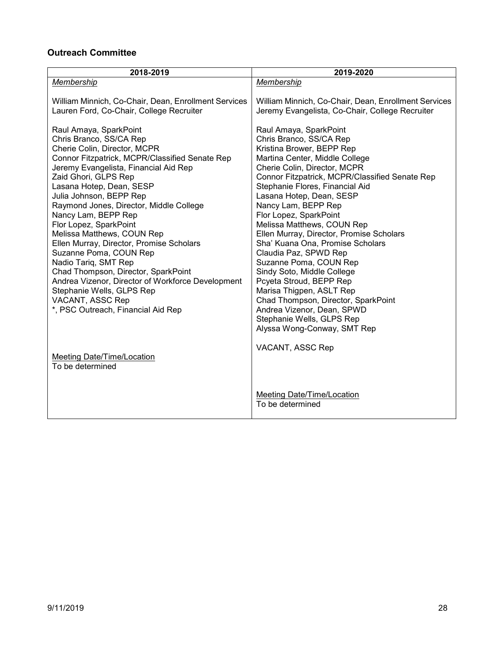## <span id="page-27-0"></span>**Outreach Committee**

| 2018-2019                                                                                        | 2019-2020                                                                                               |
|--------------------------------------------------------------------------------------------------|---------------------------------------------------------------------------------------------------------|
| Membership                                                                                       | Membership                                                                                              |
| William Minnich, Co-Chair, Dean, Enrollment Services<br>Lauren Ford, Co-Chair, College Recruiter | William Minnich, Co-Chair, Dean, Enrollment Services<br>Jeremy Evangelista, Co-Chair, College Recruiter |
| Raul Amaya, SparkPoint                                                                           | Raul Amaya, SparkPoint                                                                                  |
| Chris Branco, SS/CA Rep                                                                          | Chris Branco, SS/CA Rep                                                                                 |
| Cherie Colin, Director, MCPR<br>Connor Fitzpatrick, MCPR/Classified Senate Rep                   | Kristina Brower, BEPP Rep<br>Martina Center, Middle College                                             |
| Jeremy Evangelista, Financial Aid Rep                                                            | Cherie Colin, Director, MCPR                                                                            |
| Zaid Ghori, GLPS Rep                                                                             | Connor Fitzpatrick, MCPR/Classified Senate Rep                                                          |
| Lasana Hotep, Dean, SESP                                                                         | Stephanie Flores, Financial Aid                                                                         |
| Julia Johnson, BEPP Rep                                                                          | Lasana Hotep, Dean, SESP                                                                                |
| Raymond Jones, Director, Middle College                                                          | Nancy Lam, BEPP Rep                                                                                     |
| Nancy Lam, BEPP Rep                                                                              | Flor Lopez, SparkPoint                                                                                  |
| Flor Lopez, SparkPoint                                                                           | Melissa Matthews, COUN Rep                                                                              |
| Melissa Matthews, COUN Rep                                                                       | Ellen Murray, Director, Promise Scholars                                                                |
| Ellen Murray, Director, Promise Scholars                                                         | Sha' Kuana Ona, Promise Scholars                                                                        |
| Suzanne Poma, COUN Rep                                                                           | Claudia Paz, SPWD Rep                                                                                   |
| Nadio Tariq, SMT Rep                                                                             | Suzanne Poma, COUN Rep                                                                                  |
| Chad Thompson, Director, SparkPoint                                                              | Sindy Soto, Middle College                                                                              |
| Andrea Vizenor, Director of Workforce Development<br>Stephanie Wells, GLPS Rep                   | Pcyeta Stroud, BEPP Rep<br>Marisa Thigpen, ASLT Rep                                                     |
| VACANT, ASSC Rep                                                                                 | Chad Thompson, Director, SparkPoint                                                                     |
| *, PSC Outreach, Financial Aid Rep                                                               | Andrea Vizenor, Dean, SPWD                                                                              |
|                                                                                                  | Stephanie Wells, GLPS Rep                                                                               |
|                                                                                                  | Alyssa Wong-Conway, SMT Rep                                                                             |
|                                                                                                  | VACANT, ASSC Rep                                                                                        |
| Meeting Date/Time/Location                                                                       |                                                                                                         |
| To be determined                                                                                 |                                                                                                         |
|                                                                                                  |                                                                                                         |
|                                                                                                  | <b>Meeting Date/Time/Location</b>                                                                       |
|                                                                                                  | To be determined                                                                                        |
|                                                                                                  |                                                                                                         |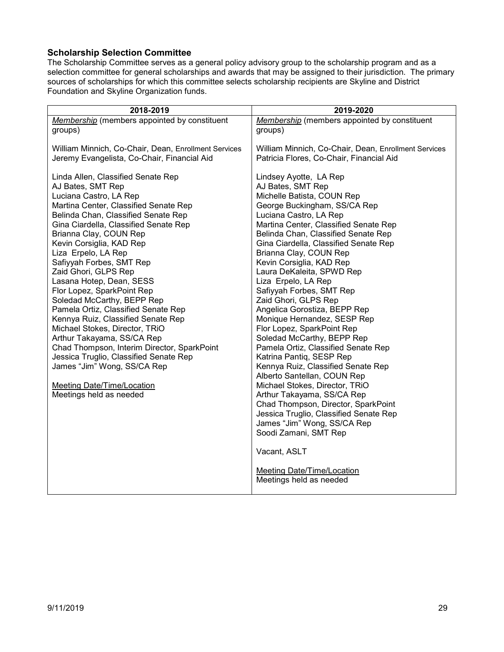### <span id="page-28-0"></span>**Scholarship Selection Committee**

The Scholarship Committee serves as a general policy advisory group to the scholarship program and as a selection committee for general scholarships and awards that may be assigned to their jurisdiction. The primary sources of scholarships for which this committee selects scholarship recipients are Skyline and District Foundation and Skyline Organization funds.

| 2018-2019                                                                                                                                                                                                                                                                                                                                                                                                                                                                                                                                                                                                                                                                                                                                                                | 2019-2020                                                                                                                                                                                                                                                                                                                                                                                                                                                                                                                                                                                                                                                                                                                                                                                                                                                                                                                                                                       |
|--------------------------------------------------------------------------------------------------------------------------------------------------------------------------------------------------------------------------------------------------------------------------------------------------------------------------------------------------------------------------------------------------------------------------------------------------------------------------------------------------------------------------------------------------------------------------------------------------------------------------------------------------------------------------------------------------------------------------------------------------------------------------|---------------------------------------------------------------------------------------------------------------------------------------------------------------------------------------------------------------------------------------------------------------------------------------------------------------------------------------------------------------------------------------------------------------------------------------------------------------------------------------------------------------------------------------------------------------------------------------------------------------------------------------------------------------------------------------------------------------------------------------------------------------------------------------------------------------------------------------------------------------------------------------------------------------------------------------------------------------------------------|
| Membership (members appointed by constituent                                                                                                                                                                                                                                                                                                                                                                                                                                                                                                                                                                                                                                                                                                                             | Membership (members appointed by constituent                                                                                                                                                                                                                                                                                                                                                                                                                                                                                                                                                                                                                                                                                                                                                                                                                                                                                                                                    |
| groups)                                                                                                                                                                                                                                                                                                                                                                                                                                                                                                                                                                                                                                                                                                                                                                  | groups)                                                                                                                                                                                                                                                                                                                                                                                                                                                                                                                                                                                                                                                                                                                                                                                                                                                                                                                                                                         |
| William Minnich, Co-Chair, Dean, Enrollment Services                                                                                                                                                                                                                                                                                                                                                                                                                                                                                                                                                                                                                                                                                                                     | William Minnich, Co-Chair, Dean, Enrollment Services                                                                                                                                                                                                                                                                                                                                                                                                                                                                                                                                                                                                                                                                                                                                                                                                                                                                                                                            |
| Jeremy Evangelista, Co-Chair, Financial Aid                                                                                                                                                                                                                                                                                                                                                                                                                                                                                                                                                                                                                                                                                                                              | Patricia Flores, Co-Chair, Financial Aid                                                                                                                                                                                                                                                                                                                                                                                                                                                                                                                                                                                                                                                                                                                                                                                                                                                                                                                                        |
| Linda Allen, Classified Senate Rep<br>AJ Bates, SMT Rep<br>Luciana Castro, LA Rep<br>Martina Center, Classified Senate Rep<br>Belinda Chan, Classified Senate Rep<br>Gina Ciardella, Classified Senate Rep<br>Brianna Clay, COUN Rep<br>Kevin Corsiglia, KAD Rep<br>Liza Erpelo, LA Rep<br>Safiyyah Forbes, SMT Rep<br>Zaid Ghori, GLPS Rep<br>Lasana Hotep, Dean, SESS<br>Flor Lopez, SparkPoint Rep<br>Soledad McCarthy, BEPP Rep<br>Pamela Ortiz, Classified Senate Rep<br>Kennya Ruiz, Classified Senate Rep<br>Michael Stokes, Director, TRiO<br>Arthur Takayama, SS/CA Rep<br>Chad Thompson, Interim Director, SparkPoint<br>Jessica Truglio, Classified Senate Rep<br>James "Jim" Wong, SS/CA Rep<br><b>Meeting Date/Time/Location</b><br>Meetings held as needed | Lindsey Ayotte, LA Rep<br>AJ Bates, SMT Rep<br>Michelle Batista, COUN Rep<br>George Buckingham, SS/CA Rep<br>Luciana Castro, LA Rep<br>Martina Center, Classified Senate Rep<br>Belinda Chan, Classified Senate Rep<br>Gina Ciardella, Classified Senate Rep<br>Brianna Clay, COUN Rep<br>Kevin Corsiglia, KAD Rep<br>Laura DeKaleita, SPWD Rep<br>Liza Erpelo, LA Rep<br>Safiyyah Forbes, SMT Rep<br>Zaid Ghori, GLPS Rep<br>Angelica Gorostiza, BEPP Rep<br>Monique Hernandez, SESP Rep<br>Flor Lopez, SparkPoint Rep<br>Soledad McCarthy, BEPP Rep<br>Pamela Ortiz, Classified Senate Rep<br>Katrina Pantiq, SESP Rep<br>Kennya Ruiz, Classified Senate Rep<br>Alberto Santellan, COUN Rep<br>Michael Stokes, Director, TRiO<br>Arthur Takayama, SS/CA Rep<br>Chad Thompson, Director, SparkPoint<br>Jessica Truglio, Classified Senate Rep<br>James "Jim" Wong, SS/CA Rep<br>Soodi Zamani, SMT Rep<br>Vacant, ASLT<br>Meeting Date/Time/Location<br>Meetings held as needed |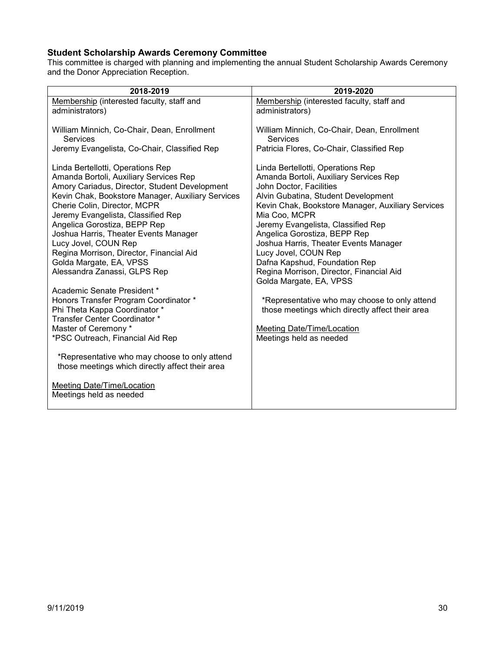## <span id="page-29-0"></span>**Student Scholarship Awards Ceremony Committee**

This committee is charged with planning and implementing the annual Student Scholarship Awards Ceremony and the Donor Appreciation Reception.

| 2018-2019                                                                                                                                                                                                                                                                                                                                                                                                                                                                                                                                                                                                                                                             | 2019-2020                                                                                                                                                                                                                                                                                                                                                                                                                                                                                                                                                                                                                              |
|-----------------------------------------------------------------------------------------------------------------------------------------------------------------------------------------------------------------------------------------------------------------------------------------------------------------------------------------------------------------------------------------------------------------------------------------------------------------------------------------------------------------------------------------------------------------------------------------------------------------------------------------------------------------------|----------------------------------------------------------------------------------------------------------------------------------------------------------------------------------------------------------------------------------------------------------------------------------------------------------------------------------------------------------------------------------------------------------------------------------------------------------------------------------------------------------------------------------------------------------------------------------------------------------------------------------------|
| Membership (interested faculty, staff and<br>administrators)                                                                                                                                                                                                                                                                                                                                                                                                                                                                                                                                                                                                          | Membership (interested faculty, staff and<br>administrators)                                                                                                                                                                                                                                                                                                                                                                                                                                                                                                                                                                           |
| William Minnich, Co-Chair, Dean, Enrollment<br>Services                                                                                                                                                                                                                                                                                                                                                                                                                                                                                                                                                                                                               | William Minnich, Co-Chair, Dean, Enrollment<br><b>Services</b>                                                                                                                                                                                                                                                                                                                                                                                                                                                                                                                                                                         |
| Jeremy Evangelista, Co-Chair, Classified Rep                                                                                                                                                                                                                                                                                                                                                                                                                                                                                                                                                                                                                          | Patricia Flores, Co-Chair, Classified Rep                                                                                                                                                                                                                                                                                                                                                                                                                                                                                                                                                                                              |
| Linda Bertellotti, Operations Rep<br>Amanda Bortoli, Auxiliary Services Rep<br>Amory Cariadus, Director, Student Development<br>Kevin Chak, Bookstore Manager, Auxiliary Services<br>Cherie Colin, Director, MCPR<br>Jeremy Evangelista, Classified Rep<br>Angelica Gorostiza, BEPP Rep<br>Joshua Harris, Theater Events Manager<br>Lucy Jovel, COUN Rep<br>Regina Morrison, Director, Financial Aid<br>Golda Margate, EA, VPSS<br>Alessandra Zanassi, GLPS Rep<br>Academic Senate President *<br>Honors Transfer Program Coordinator *<br>Phi Theta Kappa Coordinator *<br>Transfer Center Coordinator *<br>Master of Ceremony *<br>*PSC Outreach, Financial Aid Rep | Linda Bertellotti, Operations Rep<br>Amanda Bortoli, Auxiliary Services Rep<br>John Doctor, Facilities<br>Alvin Gubatina, Student Development<br>Kevin Chak, Bookstore Manager, Auxiliary Services<br>Mia Coo, MCPR<br>Jeremy Evangelista, Classified Rep<br>Angelica Gorostiza, BEPP Rep<br>Joshua Harris, Theater Events Manager<br>Lucy Jovel, COUN Rep<br>Dafna Kapshud, Foundation Rep<br>Regina Morrison, Director, Financial Aid<br>Golda Margate, EA, VPSS<br>*Representative who may choose to only attend<br>those meetings which directly affect their area<br><b>Meeting Date/Time/Location</b><br>Meetings held as needed |
| *Representative who may choose to only attend<br>those meetings which directly affect their area                                                                                                                                                                                                                                                                                                                                                                                                                                                                                                                                                                      |                                                                                                                                                                                                                                                                                                                                                                                                                                                                                                                                                                                                                                        |
| <b>Meeting Date/Time/Location</b><br>Meetings held as needed                                                                                                                                                                                                                                                                                                                                                                                                                                                                                                                                                                                                          |                                                                                                                                                                                                                                                                                                                                                                                                                                                                                                                                                                                                                                        |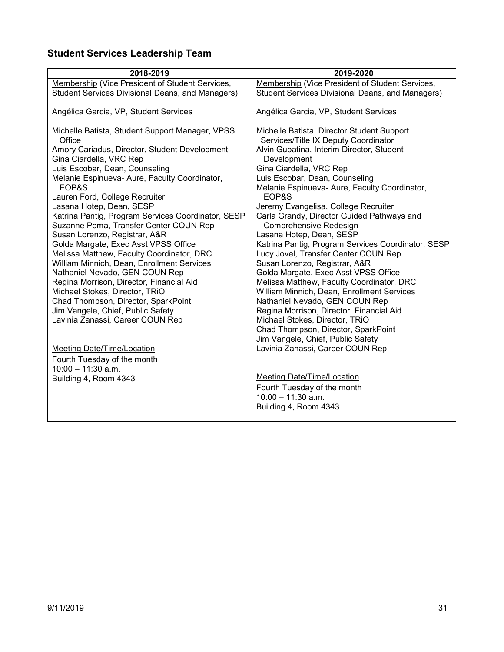# <span id="page-30-0"></span>**Student Services Leadership Team**

| 2018-2019                                                                                                  | 2019-2020                                                                                                                       |
|------------------------------------------------------------------------------------------------------------|---------------------------------------------------------------------------------------------------------------------------------|
| Membership (Vice President of Student Services,                                                            | Membership (Vice President of Student Services,                                                                                 |
| <b>Student Services Divisional Deans, and Managers)</b>                                                    | Student Services Divisional Deans, and Managers)                                                                                |
| Angélica Garcia, VP, Student Services                                                                      | Angélica Garcia, VP, Student Services                                                                                           |
| Michelle Batista, Student Support Manager, VPSS<br>Office<br>Amory Cariadus, Director, Student Development | Michelle Batista, Director Student Support<br>Services/Title IX Deputy Coordinator<br>Alvin Gubatina, Interim Director, Student |
| Gina Ciardella, VRC Rep                                                                                    | Development                                                                                                                     |
| Luis Escobar, Dean, Counseling                                                                             | Gina Ciardella, VRC Rep                                                                                                         |
| Melanie Espinueva- Aure, Faculty Coordinator,                                                              | Luis Escobar, Dean, Counseling                                                                                                  |
| EOP&S<br>Lauren Ford, College Recruiter                                                                    | Melanie Espinueva- Aure, Faculty Coordinator,<br>EOP&S                                                                          |
| Lasana Hotep, Dean, SESP                                                                                   | Jeremy Evangelisa, College Recruiter                                                                                            |
| Katrina Pantig, Program Services Coordinator, SESP<br>Suzanne Poma, Transfer Center COUN Rep               | Carla Grandy, Director Guided Pathways and<br>Comprehensive Redesign                                                            |
| Susan Lorenzo, Registrar, A&R                                                                              | Lasana Hotep, Dean, SESP                                                                                                        |
| Golda Margate, Exec Asst VPSS Office                                                                       | Katrina Pantig, Program Services Coordinator, SESP                                                                              |
| Melissa Matthew, Faculty Coordinator, DRC                                                                  | Lucy Jovel, Transfer Center COUN Rep                                                                                            |
| William Minnich, Dean, Enrollment Services<br>Nathaniel Nevado, GEN COUN Rep                               | Susan Lorenzo, Registrar, A&R<br>Golda Margate, Exec Asst VPSS Office                                                           |
| Regina Morrison, Director, Financial Aid                                                                   | Melissa Matthew, Faculty Coordinator, DRC                                                                                       |
| Michael Stokes, Director, TRiO                                                                             | William Minnich, Dean, Enrollment Services                                                                                      |
| Chad Thompson, Director, SparkPoint                                                                        | Nathaniel Nevado, GEN COUN Rep                                                                                                  |
| Jim Vangele, Chief, Public Safety                                                                          | Regina Morrison, Director, Financial Aid                                                                                        |
| Lavinia Zanassi, Career COUN Rep                                                                           | Michael Stokes, Director, TRiO                                                                                                  |
|                                                                                                            | Chad Thompson, Director, SparkPoint                                                                                             |
|                                                                                                            | Jim Vangele, Chief, Public Safety                                                                                               |
| <b>Meeting Date/Time/Location</b>                                                                          | Lavinia Zanassi, Career COUN Rep                                                                                                |
| Fourth Tuesday of the month                                                                                |                                                                                                                                 |
| $10:00 - 11:30$ a.m.                                                                                       |                                                                                                                                 |
| Building 4, Room 4343                                                                                      | Meeting Date/Time/Location                                                                                                      |
|                                                                                                            | Fourth Tuesday of the month                                                                                                     |
|                                                                                                            | $10:00 - 11:30$ a.m.<br>Building 4, Room 4343                                                                                   |
|                                                                                                            |                                                                                                                                 |
|                                                                                                            |                                                                                                                                 |